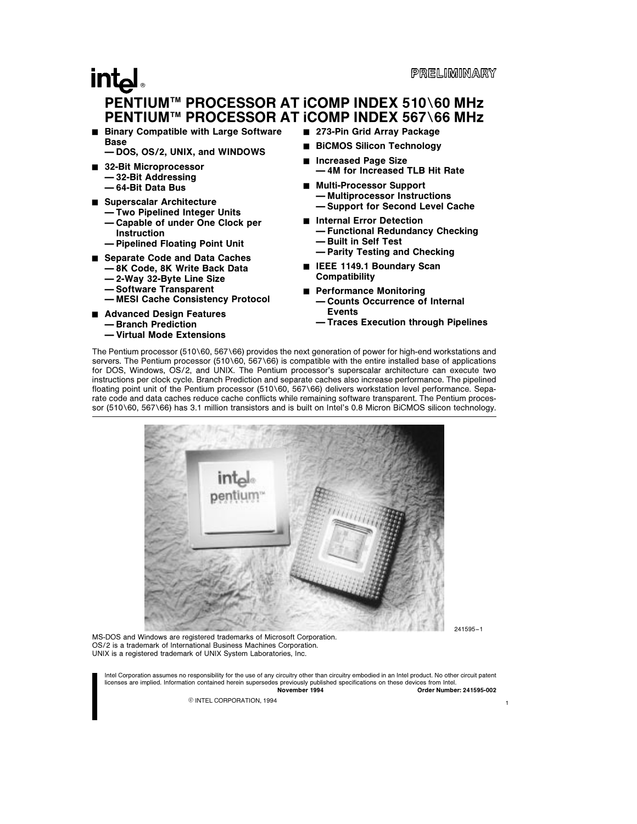### **intal** PENTIUM™ PROCESSOR AT iCOMP INDEX 510\60 MHz PENTIUM™ PROCESSOR AT iCOMP INDEX 567\66 MHz

Binary Compatible with Large Software Base

Ð DOS, OS/2, UNIX, and WINDOWS

- 32-Bit Microprocessor Ð 32-Bit Addressing Ð 64-Bit Data Bus
- Superscalar Architecture
	- Two Pipelined Integer Units Ð Capable of under One Clock per Instruction
	- Ð Pipelined Floating Point Unit
- Separate Code and Data Caches
	- Ð 8K Code, 8K Write Back Data
	- Ð 2-Way 32-Byte Line Size
	- Ð Software Transparent
	- Ð MESI Cache Consistency Protocol
- Advanced Design Features
	- Ð Branch Prediction
	- Ð Virtual Mode Extensions
- 273-Pin Grid Array Package
- BiCMOS Silicon Technology
- Increased Page Size Ð 4M for Increased TLB Hit Rate
- Multi-Processor Support - Multiprocessor Instructions - Support for Second Level Cache
- Internal Error Detection Ð Functional Redundancy Checking
	- Ð Built in Self Test
	- Ð Parity Testing and Checking
- E IEEE 1149.1 Boundary Scan **Compatibility**
- Performance Monitoring
	- Ð Counts Occurrence of Internal **Events**
	- $-$  Traces Execution through Pipelines

The Pentium processor (510\60, 567\66) provides the next generation of power for high-end workstations and servers. The Pentium processor (510\60, 567\66) is compatible with the entire installed base of applications for DOS, Windows, OS/2, and UNIX. The Pentium processor's superscalar architecture can execute two instructions per clock cycle. Branch Prediction and separate caches also increase performance. The pipelined floating point unit of the Pentium processor (510\60, 567\66) delivers workstation level performance. Separate code and data caches reduce cache conflicts while remaining software transparent. The Pentium processor (510\60, 567\66) has 3.1 million transistors and is built on Intel's 0.8 Micron BiCMOS silicon technology.



241595 –1

1

MS-DOS and Windows are registered trademarks of Microsoft Corporation. OS/2 is a trademark of International Business Machines Corporation. UNIX is a registered trademark of UNIX System Laboratories, Inc.

Intel Corporation assumes no responsibility for the use of any circuitry other than circuitry embodied in an Intel product. No other circuit patent licenses are implied. Information contained herein supersedes previously published specifications on these devices from Intel. November 1994 Order Number: 241595-002

© INTEL CORPORATION, 1994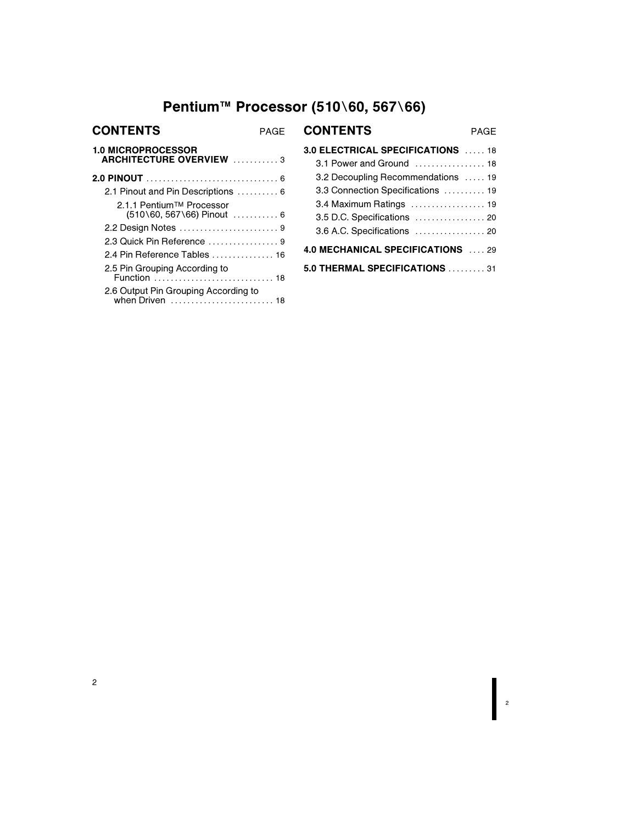### Pentium™ Processor (510\60, 567\66)

| <b>CONTENTS</b>                                             | PAGF | <b>CONTENTS</b><br><b>PAGF</b>     |
|-------------------------------------------------------------|------|------------------------------------|
| <b>1.0 MICROPROCESSOR</b><br><b>ARCHITECTURE OVERVIEW 3</b> |      | 3.0 ELECTRICAL SPECIFICATIONS  18  |
|                                                             |      | 3.1 Power and Ground  18           |
|                                                             |      | 3.2 Decoupling Recommendations  19 |
| 2.1 Pinout and Pin Descriptions  6                          |      | 3.3 Connection Specifications  19  |
| 2.1.1 Pentium™ Processor                                    |      | 3.4 Maximum Ratings  19            |
| $(510\,60, 567\,66)$ Pinout  6                              |      | 3.5 D.C. Specifications  20        |
| 2.2 Design Notes 9                                          |      | 3.6 A.C. Specifications  20        |
|                                                             |      |                                    |
| 2.4 Pin Reference Tables  16                                |      | 4.0 MECHANICAL SPECIFICATIONS  29  |
| 2.5 Pin Grouping According to                               |      | 5.0 THERMAL SPECIFICATIONS  31     |
| 2.6 Output Pin Grouping According to<br>when Driven  18     |      |                                    |

| <b>3.0 ELECTRICAL SPECIFICATIONS</b> 18   |
|-------------------------------------------|
| 3.1 Power and Ground  18                  |
| 3.2 Decoupling Recommendations  19        |
| 3.3 Connection Specifications  19         |
| 3.4 Maximum Ratings  19                   |
| 3.5 D.C. Specifications  20               |
| 3.6 A.C. Specifications  20               |
| <b>4.0 MECHANICAL SPECIFICATIONS</b> , 29 |
| 5.0 THERMAL SPECIFICATIONS  31            |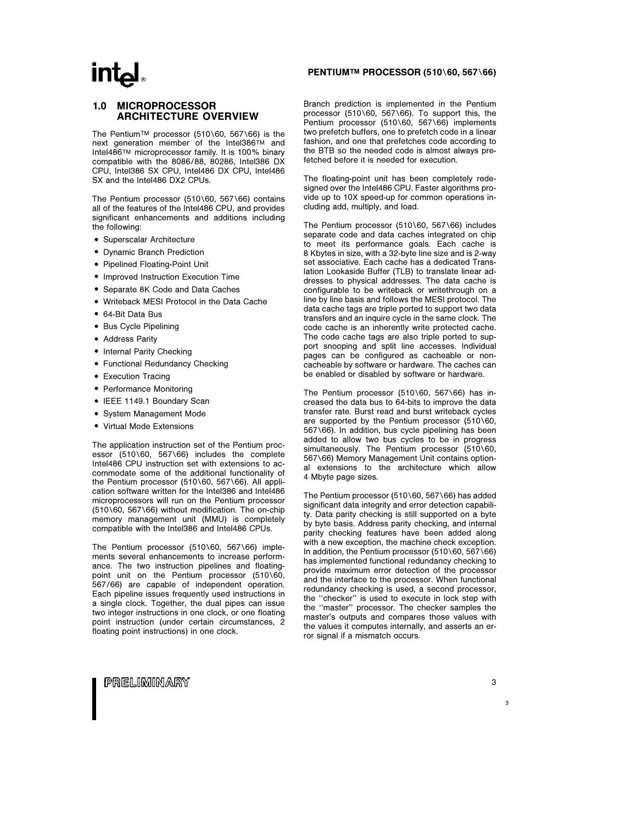### **intal**

### 1.0 MICROPROCESSOR ARCHITECTURE OVERVIEW

The Pentium™ processor (510\60, 567\66) is the next generation member of the Intel386TM and Intel486TM microprocessor family. It is 100% binary compatible with the 8086/88, 80286, Intel386 DX CPU, Intel386 SX CPU, Intel486 DX CPU, Intel486 SX and the Intel486 DX2 CPUs.

The Pentium processor (510\60, 567\66) contains all of the features of the Intel486 CPU, and provides significant enhancements and additions including the following:

- Superscalar Architecture
- Dynamic Branch Prediction
- Pipelined Floating-Point Unit
- Improved Instruction Execution Time
- Separate 8K Code and Data Caches
- . Writeback MESI Protocol in the Data Cache
- **64-Bit Data Bus**
- Bus Cycle Pipelining
- Address Parity
- Internal Parity Checking
- Functional Redundancy Checking
- Execution Tracing
- Performance Monitoring
- IEEE 1149.1 Boundary Scan
- System Management Mode
- Virtual Mode Extensions

The application instruction set of the Pentium processor  $(510\sqrt{60}, 567\sqrt{66})$  includes the complete Intel486 CPU instruction set with extensions to accommodate some of the additional functionality of the Pentium processor  $(510\60, 567\66)$ . All application software written for the Intel386 and Intel486 microprocessors will run on the Pentium processor  $(510\setminus 60, 567\setminus 66)$  without modification. The on-chip memory management unit (MMU) is completely compatible with the Intel386 and Intel486 CPUs.

The Pentium processor (510 $\setminus$ 60, 567 $\setminus$ 66) implements several enhancements to increase performance. The two instruction pipelines and floatingpoint unit on the Pentium processor  $(510\sqrt{60})$ , 567/66) are capable of independent operation. Each pipeline issues frequently used instructions in a single clock. Together, the dual pipes can issue two integer instructions in one clock, or one floating point instruction (under certain circumstances, 2 floating point instructions) in one clock.

### PENTIUMTM PROCESSOR (510\60, 567\66)

Branch prediction is implemented in the Pentium processor (510\60, 567\66). To support this, the Pentium processor (510\60, 567\66) implements two prefetch buffers, one to prefetch code in a linear fashion, and one that prefetches code according to the BTB so the needed code is almost always prefetched before it is needed for execution.

The floating-point unit has been completely redesigned over the Intel486 CPU. Faster algorithms provide up to 10X speed-up for common operations including add, multiply, and load.

The Pentium processor (510 $\setminus$ 60, 567 $\setminus$ 66) includes separate code and data caches integrated on chip to meet its performance goals. Each cache is 8 Kbytes in size, with a 32-byte line size and is 2-way set associative. Each cache has a dedicated Translation Lookaside Buffer (TLB) to translate linear addresses to physical addresses. The data cache is configurable to be writeback or writethrough on a line by line basis and follows the MESI protocol. The data cache tags are triple ported to support two data transfers and an inquire cycle in the same clock. The code cache is an inherently write protected cache. The code cache tags are also triple ported to support snooping and split line accesses. Individual pages can be configured as cacheable or noncacheable by software or hardware. The caches can be enabled or disabled by software or hardware.

The Pentium processor (510 $\setminus$ 60, 567 $\setminus$ 66) has increased the data bus to 64-bits to improve the data transfer rate. Burst read and burst writeback cycles are supported by the Pentium processor  $(510)\,60$ , 567\66). In addition, bus cycle pipelining has been added to allow two bus cycles to be in progress simultaneously. The Pentium processor  $(510)\,60$ , 567\66) Memory Management Unit contains optional extensions to the architecture which allow 4 Mbyte page sizes.

The Pentium processor (510\60, 567\66) has added significant data integrity and error detection capability. Data parity checking is still supported on a byte by byte basis. Address parity checking, and internal parity checking features have been added along with a new exception, the machine check exception. In addition, the Pentium processor  $(510\sqrt{60}, 567\sqrt{66})$ has implemented functional redundancy checking to provide maximum error detection of the processor and the interface to the processor. When functional redundancy checking is used, a second processor, the ''checker'' is used to execute in lock step with the ''master'' processor. The checker samples the master's outputs and compares those values with the values it computes internally, and asserts an error signal if a mismatch occurs.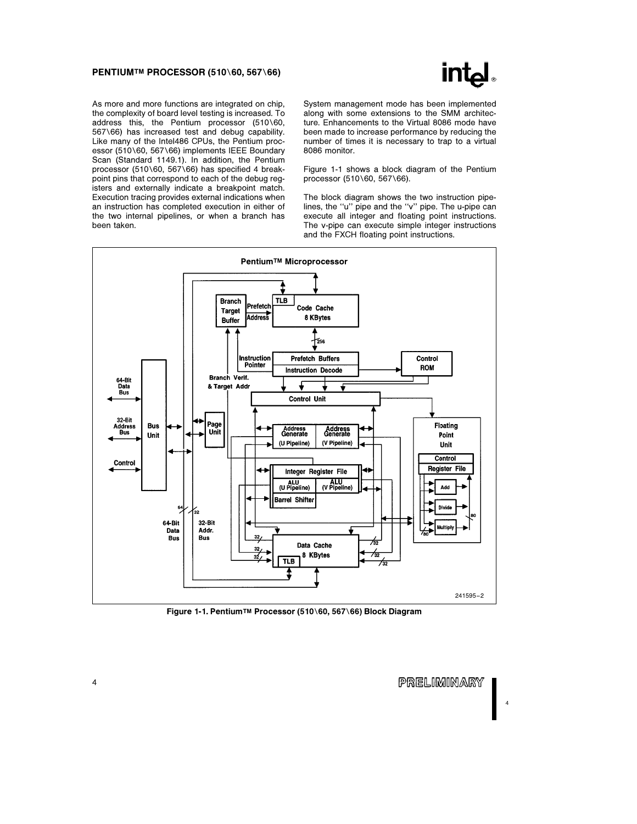### PENTIUMTM PROCESSOR (510\60, 567\66)



As more and more functions are integrated on chip, the complexity of board level testing is increased. To address this, the Pentium processor  $(510\sqrt{60})$ , 567\66) has increased test and debug capability. Like many of the Intel486 CPUs, the Pentium processor (510\60, 567\66) implements IEEE Boundary Scan (Standard 1149.1). In addition, the Pentium processor (510\60, 567\66) has specified 4 breakpoint pins that correspond to each of the debug registers and externally indicate a breakpoint match. Execution tracing provides external indications when an instruction has completed execution in either of the two internal pipelines, or when a branch has been taken.

System management mode has been implemented along with some extensions to the SMM architecture. Enhancements to the Virtual 8086 mode have been made to increase performance by reducing the number of times it is necessary to trap to a virtual 8086 monitor.

Figure 1-1 shows a block diagram of the Pentium processor (510\60, 567\66).

The block diagram shows the two instruction pipelines, the ''u'' pipe and the ''v'' pipe. The u-pipe can execute all integer and floating point instructions. The v-pipe can execute simple integer instructions and the FXCH floating point instructions.



Figure 1-1. Pentium™ Processor (510\60, 567\66) Block Diagram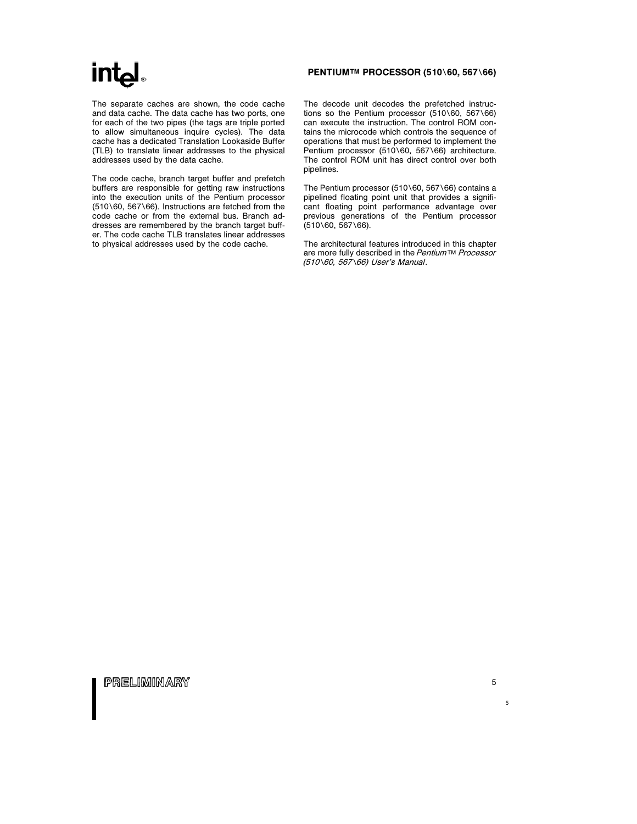### PENTIUM™ PROCESSOR (510\60, 567\66)

The separate caches are shown, the code cache and data cache. The data cache has two ports, one for each of the two pipes (the tags are triple ported to allow simultaneous inquire cycles). The data cache has a dedicated Translation Lookaside Buffer (TLB) to translate linear addresses to the physical addresses used by the data cache.

The code cache, branch target buffer and prefetch buffers are responsible for getting raw instructions into the execution units of the Pentium processor  $(510\sqrt{60}, 567\sqrt{66})$ . Instructions are fetched from the code cache or from the external bus. Branch addresses are remembered by the branch target buffer. The code cache TLB translates linear addresses to physical addresses used by the code cache.

The decode unit decodes the prefetched instructions so the Pentium processor  $(510\sqrt{60}, 567\sqrt{66})$ can execute the instruction. The control ROM contains the microcode which controls the sequence of operations that must be performed to implement the Pentium processor (510\60, 567\66) architecture. The control ROM unit has direct control over both pipelines.

The Pentium processor (510 $\setminus$ 60, 567 $\setminus$ 66) contains a pipelined floating point unit that provides a significant floating point performance advantage over previous generations of the Pentium processor  $(510\sqrt{60}, 567\sqrt{66}).$ 

The architectural features introduced in this chapter are more fully described in the Pentium™ Processor (510\60, 567\66) User's Manual.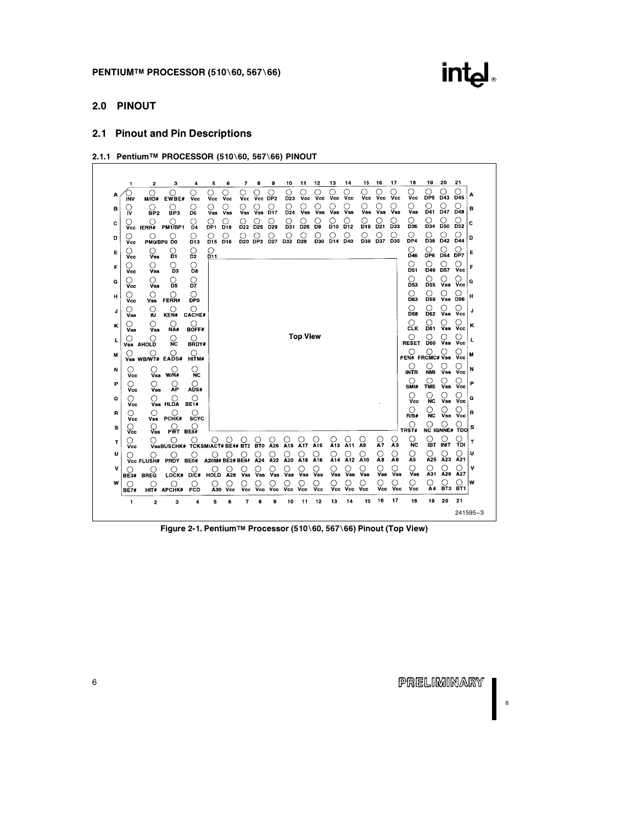

### 2.0 PINOUT

### 2.1 Pinout and Pin Descriptions

2.1.1 Pentium™ PROCESSOR (510\60, 567\66) PINOUT

|   | 1               | 2                             | з                                                                            | 4                         | 5                           | 6                | 7                 | а            | 9                    | 10                   | 11              | 12                   | 13                    | 14                    | 15             | 16                   | 17        | 18                                                                     | 19                 | 20                                 | 21                     |
|---|-----------------|-------------------------------|------------------------------------------------------------------------------|---------------------------|-----------------------------|------------------|-------------------|--------------|----------------------|----------------------|-----------------|----------------------|-----------------------|-----------------------|----------------|----------------------|-----------|------------------------------------------------------------------------|--------------------|------------------------------------|------------------------|
| Α | <b>INV</b>      | Ο<br><b>M/IO#</b>             | O<br>EWBE#                                                                   | Vcc                       | О<br>Vcc                    | О<br>Vcc         | O<br>Vcc          | Vcc          | O<br>DP <sub>2</sub> | О<br>D <sub>23</sub> | Vcc             | Ω<br>Vcc             | Ω<br>Vcc              | ∩<br>Vcc              | Ω<br>Vcc       | O<br>Vcc             | O<br>Vcc  | Ω<br>Vcc                                                               | O<br>DP5           | O<br>D43                           | ∩<br>D45               |
| в | IV              | 0<br>BP <sub>2</sub>          | O<br>BP3                                                                     | O<br>D6                   | ( )<br><b>Vss</b>           | ()<br><b>Vss</b> | ( )<br><b>Vss</b> | 0<br>Vss     | 0<br>D <sub>17</sub> | О<br>D <sub>24</sub> | <b>Vss</b>      | <b>Vss</b>           | ()<br>Vss             | <b>Vss</b>            | Vss            | 0<br><b>Vss</b>      | Vss       | O<br><b>Vss</b>                                                        | O<br>D41           | O<br>D <sub>47</sub>               | D48                    |
| c |                 | ()<br>Vcc IERR#               | $\bigcirc$ PM1/BP1                                                           | $\Omega$                  | O<br>DP <sub>1</sub>        | D <sub>18</sub>  | ( )<br>D22        | D25          | D29                  | ( )<br>D31           | D <sub>26</sub> | D <sub>9</sub>       | ()<br>D <sub>10</sub> | D <sub>12</sub>       | D19            | 0<br>D <sub>21</sub> | ()<br>D33 | ()<br>D36                                                              | O<br>D34           | O<br><b>D50</b>                    | ( )<br>D <sub>52</sub> |
| D | ( )<br>Vcc      | $\left(\right)$               | O<br>PMO/BP0 D0                                                              | О<br>D <sub>13</sub>      | O<br>D <sub>15</sub>        | О<br>D16         | О                 | O<br>D20 DP3 | О<br><b>D27</b>      | O<br>D32 D28         | O               | O<br>D30             | O<br>D14              | O<br>$\overline{D40}$ | ◯<br>D39       | О<br>D37             | Ω<br>D35  | O<br>DP4                                                               | O<br>D38           | O<br>D42                           | ( )<br>D44             |
| E | Ϋ́сс            | О<br>Vss                      | O<br>Đ1                                                                      | O<br>D <sub>2</sub>       | $\mathcal{Q}_{\mathbf{11}}$ |                  |                   |              |                      |                      |                 |                      |                       |                       |                |                      |           | $\frac{\bigcirc}{\mathsf{D46}}$                                        | DP6                | O<br>D54                           | О<br>DP7               |
| F | O<br>Vcc        | O<br><b>Vss</b>               | O<br>D <sub>3</sub>                                                          | O<br>D8                   |                             |                  |                   |              |                      |                      |                 |                      |                       |                       |                |                      |           | Ο<br>D51                                                               | Ο<br>D49           | О<br><b>D57</b>                    | О<br>Vcc               |
| G | ( )<br>Vcc      | $\left(\right)$<br><b>Vss</b> | O<br>D5                                                                      | О<br>D7                   |                             |                  |                   |              |                      |                      |                 |                      |                       |                       |                |                      |           | O<br>D53                                                               | ○<br>D55           | ្ត<br>Vss                          | ( )<br><b>Vcc</b>      |
| н | $\cdots$<br>Vcc | O<br>Vss                      | $\left( \right)$<br>FERR#                                                    | ◯<br><b>DP0</b>           |                             |                  |                   |              |                      |                      |                 |                      |                       |                       |                |                      |           | О<br>D63                                                               | О<br>D59           | O<br><b>Vss</b>                    | O<br><b>D56</b>        |
| J | Vss             | О<br>ın                       | $\bigcirc$ KEN#                                                              | Ο<br><b>CACHE#</b>        |                             |                  |                   |              |                      |                      |                 |                      |                       |                       |                |                      |           | O<br>D58                                                               | Ο<br>D62           | Ο<br><b>Vss</b>                    | O<br><b>Vcc</b>        |
| κ | Vss             | Ο<br><b>Vss</b>               | O<br>NĂ#                                                                     | О<br>BOFF#                |                             |                  |                   |              |                      |                      |                 |                      |                       |                       |                |                      |           | O<br>CLK                                                               | ( )<br>D61         | ( )<br>$\widetilde{\mathsf{V}}$ ss | ( )<br>Vcc             |
| L | O               | ( )<br>Vss AHOLD              | ⊖<br><b>NC</b>                                                               | $\left( \right)$<br>BRDY# |                             |                  |                   |              |                      |                      | <b>Top View</b> |                      |                       |                       |                |                      |           | ∩<br><b>RESET</b>                                                      | O<br><b>D60</b>    | О<br><b>Vss</b>                    | О<br>Vcc               |
| м |                 |                               | $\bigcup_{\mathsf{Vss}}\bigcup_{\mathsf{WB/WT\#}}\bigcirc_{\mathsf{EADS}\#}$ | ∩<br>HITM#                |                             |                  |                   |              |                      |                      |                 |                      |                       |                       |                |                      |           | $\bigcirc$ $\bigcirc$ $\bigcirc$ $\bigcirc$ $\bigcirc$ PEN# FRCMC# Vss |                    |                                    | ( )<br>Vcc             |
| N | O<br>Vcc        | O<br>Vss                      | O<br>W/IR#                                                                   | О<br><b>NC</b>            |                             |                  |                   |              |                      |                      |                 |                      |                       |                       |                |                      |           | ()<br><b>INTR</b>                                                      | O<br><b>NMI</b>    | O<br>Vss                           | ( )<br>Vcc             |
| Р | Vcc             | O<br><b>Vss</b>               | O<br>ÃΡ                                                                      | O<br>ADS#                 |                             |                  |                   |              |                      |                      |                 |                      |                       |                       |                |                      |           | О<br>SMI#                                                              | $\frac{C}{TMS}$    | O<br>Vss                           | O<br>Vcc               |
| Q | 0<br>Vcc        | Ο                             | O<br>Vss HLDA                                                                | Ο<br><b>BE1#</b>          |                             |                  |                   |              |                      |                      |                 |                      |                       |                       |                |                      |           | $\left( \right)$<br>Vcc                                                | Ο<br><b>NC</b>     | O<br><b>Vss</b>                    | O<br>Vcc               |
| R | О<br>Vcc        | О<br>Vss                      | PCHK#                                                                        | ◯<br><b>SCYC</b>          |                             |                  |                   |              |                      |                      |                 |                      |                       |                       |                |                      |           | Ω<br>R/S#                                                              | ( )<br><b>NC</b>   | Vas                                | 0<br>Vcc               |
| s | Vcc             | ∀ระ                           | $PWT$ BES#                                                                   |                           |                             |                  |                   |              |                      |                      |                 |                      |                       |                       |                |                      |           | $\underset{\text{TRST#}}{\bigcirc}$                                    | O<br>NC IGNNE# TDO |                                    | O                      |
| т | Э<br>Vcc        |                               | Ο<br><b>VSSBUSCHK# TCKSMIACT#BE4#</b>                                        | O                         | O                           | $\left( \right)$ | BT <sub>2</sub>   | <b>BTO</b>   | A26                  | A <sub>19</sub>      | A17             | A <sub>15</sub>      | A13                   | O<br>A11              | A <sub>9</sub> | Ω<br>A7              | О<br>ÃЗ   | О<br><b>NC</b>                                                         | Ο<br><b>IBT</b>    | O<br><b>INIT</b>                   | Ο<br>TDI               |
| U |                 | <b>Vcc FLUSH#</b>             | <b>PRDY</b>                                                                  | О<br>BE0#                 | Ο<br>A20M# BE2# BE6#        | О                |                   | A24          | O<br>A22             | О<br>A20             | O<br>A18        | О<br>A <sub>16</sub> | O<br>A14              | О<br>$\tilde{A}12$    | $\Omega$       | $\Omega$             | О<br>Ă6   | $\Omega$                                                               | O<br>A25           | $\Omega$ <sub>A23</sub>            | O<br>A21               |
| v | <b>BE3#</b>     | <b>BREQ</b>                   | <b>LOCK#</b>                                                                 | D/C#                      | HOLD                        | A28              | <b>Vss</b>        | Vss          | Vss                  | Vss                  | Vss             | Vss                  | Vss                   | O<br>Vss              | Vss            | Vss                  | Ο<br>Vss  | O<br>Vss                                                               | O<br>A31           | О<br>A29                           | O<br>A27               |
| w | <b>BE7#</b>     | O                             | ()<br>HIT# APCHK#                                                            | O<br>PCD                  | ( )                         | ( )<br>A30 Vcc   | Vcc               | Vcc          | Vcc                  | Vcc                  | Vcc             | Vcc                  | Vcc                   | ( )<br>Vcc            | O<br>Vcc       | 0<br>Vcc             | Vcc       | Ο<br>Vcc                                                               | Ο<br>А4            | О<br>BT3                           | О<br>BT1               |
|   | 1               | 2                             | 3                                                                            | 4                         | 5                           | 6                | 7                 | 8            | 9                    | 10                   | 11              | 12                   | 13                    | 14                    | 15             | 16                   | 17        | 18                                                                     | 19                 | 20                                 | 21                     |

Figure 2-1. Pentium™ Processor (510\60, 567\66) Pinout (Top View)

PRELIMINARY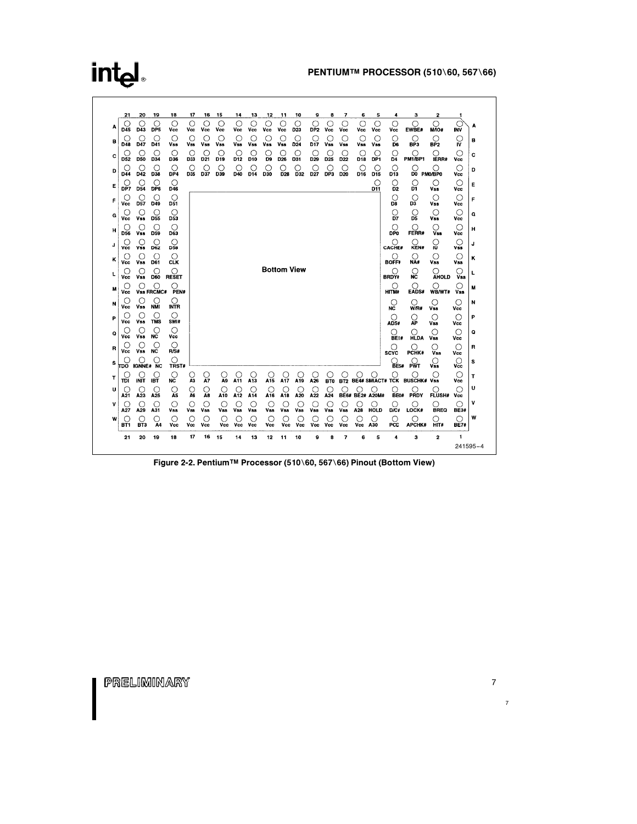|   | 21              | 20                             | 19                     | 18                      | 17             | 16        | 15                      | 14                    | 13       | 12                 | 11                     | 10                   | 9                    | 8               | 7                    | 6                     | 5                    | 4                       | з                    | 2                                  | 1                       |
|---|-----------------|--------------------------------|------------------------|-------------------------|----------------|-----------|-------------------------|-----------------------|----------|--------------------|------------------------|----------------------|----------------------|-----------------|----------------------|-----------------------|----------------------|-------------------------|----------------------|------------------------------------|-------------------------|
|   | O<br>D45        | $\circ$<br>D43                 | Ο<br>DP <sub>5</sub>   | Ο<br>Vcc                | $\circ$<br>Vcc | Ο<br>Vcc  | О<br>Vcc                | О<br>Vcc              | Ο<br>Vcc | Ο<br>Vcc           | ∩<br>Vcc               | С<br>D <sub>23</sub> | Ο<br>DP <sub>2</sub> | О<br>Vcc        | ∩<br>Vcc             | O<br>Vcc              | O<br>Vcc             | О<br>Vcc                | ∩<br>EWBE#           | $\bigcirc$<br><b>M/IO#</b>         | INV                     |
| в | U<br>D48        | O<br>D47                       | C<br>D41               | О<br>Vss                | O<br>Vss       | О<br>Vss  | O<br>Vss                | O<br>Vss              | О<br>Vss | Vss                | O<br><b>Vss</b>        | C<br>D <sub>24</sub> | O<br>D17             | С<br><b>Vss</b> | O<br><b>Vss</b>      | $\circ$<br>Vss        | O<br>Vss             | O<br>D6                 | O<br>BP3             | O<br>BP <sub>2</sub>               | C<br>IV                 |
| c | ( )<br>D52      | U<br><b>D50</b>                | D34                    | $\left( \right)$<br>D36 | O<br>D33       | C.<br>D21 | $\left( \right)$<br>D19 | O.<br>D <sub>12</sub> | С<br>D10 | O<br>D9            | O.<br>D26              | €<br>D31             | $\circ$<br>D29       | D <sub>25</sub> | C<br>D <sub>22</sub> | C<br>D <sub>18</sub>  | ( )<br>DP1           | O<br>D <sub>4</sub>     | ()<br><b>PM1/BP1</b> | ()<br><b>IERR#</b>                 | $\left( \right)$<br>Vcc |
| D | D44             | O<br>D42                       | D38                    | ◯<br>DP4                | O<br>D35       | D37       | 0<br>D39                | ( )<br>D40            | O<br>D14 | С.<br>D30          | ( )<br>D <sub>28</sub> | C.<br>D32            | C<br>D <sub>27</sub> | С<br>DP3        | С<br>D <sub>20</sub> | C<br>D16              | C<br>D <sub>15</sub> | О<br>D13                | ( )<br>DO PMO/BPO    | ( )                                | ∩<br>Vcc                |
| Е | DP7             | O<br>D54                       | O<br>DP6               | O<br>D46                |                |           |                         |                       |          |                    |                        |                      |                      |                 |                      |                       | O<br>D11             | О<br>D <sub>2</sub>     | O<br>DĪ.             | О<br>Vss                           | О<br>Vcc                |
| F | Ο<br>Vcc        | O<br><b>D57</b>                | O<br>D49               | ∩<br>D51                |                |           |                         |                       |          |                    |                        |                      |                      |                 |                      |                       |                      | O<br>D8                 | O<br>D3              | O<br><b>Vss</b>                    | O<br>Vcc                |
| G | Ο<br>Vcc        | O<br>Vss                       | O<br>D <sub>55</sub>   | O<br>D53                |                |           |                         |                       |          |                    |                        |                      |                      |                 |                      |                       |                      | О<br>Ď7                 | ္သ                   | О<br>Vss                           | O<br>Vcc                |
| н | O<br><b>D56</b> | O<br><b>Vss</b>                | O<br>D59               | Ω<br>D63                |                |           |                         |                       |          |                    |                        |                      |                      |                 |                      |                       |                      | Ω<br><b>DPO</b>         | O<br>FERR#           | O<br>V <sub>33</sub>               | Ω<br>Vcc                |
| J | ( )<br>Vcc      | O<br><b>Vss</b>                | O<br>D62               | ◯<br><b>D58</b>         |                |           |                         |                       |          |                    |                        |                      |                      |                 |                      |                       |                      | ∩<br><b>CACHE#</b>      | KEN#                 | 1Ū                                 | $\circ$<br><b>Vss</b>   |
| к | C :<br>Vcc      | $\left( \right)$<br><b>Vss</b> | 0<br>D61               | ◯<br><b>CLK</b>         |                |           |                         |                       |          |                    |                        |                      |                      |                 |                      |                       |                      | ( )<br><b>BOFF#</b>     | O<br>NĀ#             | $\left( \right)$<br>Vss            | ◯<br><b>Vss</b>         |
|   | Vcc             | C<br><b>Vss</b>                | С<br>D60               | ∩<br><b>RESET</b>       |                |           |                         |                       |          | <b>Bottom View</b> |                        |                      |                      |                 |                      |                       |                      | ( )<br><b>BRDY#</b>     | O<br>NC              | O<br><b>AHOLD</b>                  | Ω<br><b>Vss</b>         |
| M |                 | O                              | O<br><b>Vss FRCMC#</b> | O<br>PEN#               |                |           |                         |                       |          |                    |                        |                      |                      |                 |                      |                       |                      | O<br>HITM#              | Ω<br>EADS#           | O<br>WB/WT#                        | ()<br><b>Vss</b>        |
| N | Vcc<br>O        | O                              | O<br>NÑI               | O                       |                |           |                         |                       |          |                    |                        |                      |                      |                 |                      |                       |                      | O                       | Ο                    | O                                  | ( )                     |
| P | Vcc             | <b>Vss</b><br>O                | O                      | <b>INTR</b><br>O        |                |           |                         |                       |          |                    |                        |                      |                      |                 |                      |                       |                      | <b>NC</b><br>Ω          | W/R#<br>O            | <b>Vss</b><br>O                    | Vcc<br>O                |
| Q | Vcc<br>O        | <b>Vss</b><br>U                | <b>TMS</b><br>()       | SMI#<br>Ο               |                |           |                         |                       |          |                    |                        |                      |                      |                 |                      |                       |                      | ADS#<br>О               | ÃΡ<br>О              | <b>Vss</b><br>О                    | Vcc<br>Ο                |
| в | Vcc<br>()       | <b>Vss</b><br>O                | <b>NC</b><br>O         | Vcc<br>O                |                |           |                         |                       |          |                    |                        |                      |                      |                 |                      |                       |                      | <b>BE1#</b>             | <b>HLDA</b><br>∩     | <b>Vss</b><br>( )                  | Vcc<br>Ω                |
| s | Vcc             | <b>Vss</b>                     | <b>NC</b><br>C         | R/S#<br>О               |                |           |                         |                       |          |                    |                        |                      |                      |                 |                      |                       |                      | <b>SCYC</b>             | PCHK#<br>$\sqrt{r}$  | Vss<br>$\mathcal{Q}_{\mathbf{ss}}$ | Vcc<br>Ω                |
| т | πo              | <b>IGNNE# NC</b>               |                        | TRST#<br>Ο              | O              | O         |                         |                       | C        | Ω                  |                        |                      | ( )                  |                 |                      |                       | Ω                    | BE5#<br>Ο               | Ω                    | $\bigcirc$                         | Vcc<br>$\bigcirc$       |
| υ | וסד<br>O        | INIT<br>O                      | IBT                    | NĆ<br>O                 | A3<br>္စ       | A7<br>O   | A9<br>O                 | A11                   | A13<br>C | A15<br>C           | A17<br>O               | A19                  | A26<br>C.            | <b>BTO</b>      | <b>BT2</b><br>О      | C :                   |                      | <b>BE4# SMIACT# TCK</b> | <b>BUSCHK#</b>       | Vss                                | Vcc<br>O                |
| ٧ | A21             | A23<br>O                       | A25                    | A5<br>O                 | O              | A8<br>O   | A10<br>O                | A <sub>12</sub><br>C. | A14<br>C | A16<br>С           | A18<br>O               | A20                  | A22<br>O             | A24             | ( )                  | <b>BE6# BE2#</b><br>С | A20M#                | BE0#<br>0               | PRDY                 | <b>FLUSH#</b><br>O                 | Vcc<br>∩                |
| w | A27<br>O        | A29<br>O                       | A31                    | <b>Vss</b><br>O         | Vss<br>O       | Vss<br>O  | Vss<br>O                | <b>Vss</b><br>Ο       | Vss<br>О | Vss<br>Ο           | <b>Vss</b><br>C        | Vss<br>С             | Vss<br>O             | Vss<br>0        | Vss<br>О             | A28<br>O              | HOLD<br>Ω            | D/C#<br>O               | LOCK#<br>O           | <b>BREQ</b><br>Ο                   | <b>BE3#</b><br>◯        |
|   | BT1             | BT3                            | Α4                     | Vcc                     | Vcc            | Vcc       | Vcc                     | Vcc                   | Vcc      | Vcc                | Vcc                    | Vcc                  | Vcc                  | Vcc             | Vcc                  | Vcc                   | A30                  | PCD                     | <b>APCHK#</b>        | HIT#                               | <b>BE7#</b>             |
|   | 21              | 20                             | 19                     | 18                      | 17             | 16        | 15                      | 14                    | 13       | 12                 | 11                     | 10                   | 9                    | 8               | 7                    | 6                     | 5                    | 4                       | 3                    | 2                                  | 1<br>241595-4           |

Figure 2-2. Pentium™ Processor (510\60, 567\66) Pinout (Bottom View)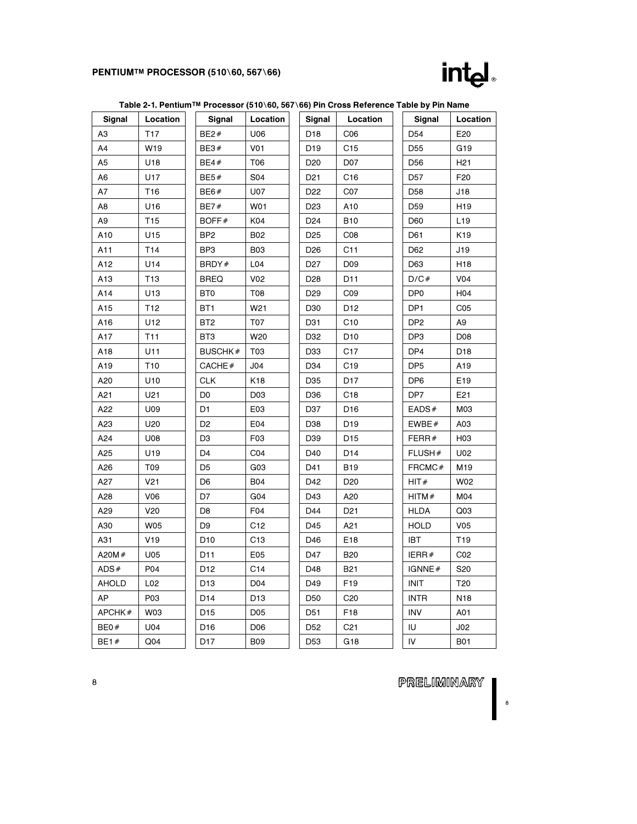### PENTIUMTM PROCESSOR (510\60, 567\66)



|              |                 | Table 2-1. Pentium™ Processor (510\60, 567\66) Pin Cross Reference Table by Pin Name |                 |                 |                 |                 |                 |
|--------------|-----------------|--------------------------------------------------------------------------------------|-----------------|-----------------|-----------------|-----------------|-----------------|
| Signal       | Location        | Signal                                                                               | Location        | Signal          | Location        | Signal          | Location        |
| A3           | T <sub>17</sub> | BE2#                                                                                 | U06             | D <sub>18</sub> | CO6             | D <sub>54</sub> | E20             |
| A4           | W19             | BE3#                                                                                 | V <sub>01</sub> | D <sub>19</sub> | C15             | D55             | G19             |
| A5           | U18             | BE4#                                                                                 | T06             | D <sub>20</sub> | D07             | D56             | H <sub>21</sub> |
| A6           | U17             | BE5#                                                                                 | S04             | D <sub>21</sub> | C <sub>16</sub> | D <sub>57</sub> | F20             |
| Α7           | T <sub>16</sub> | BE6#                                                                                 | U07             | D <sub>22</sub> | CO <sub>7</sub> | D58             | J18             |
| A8           | U16             | <b>BE7#</b>                                                                          | W01             | D <sub>23</sub> | A10             | D59             | H <sub>19</sub> |
| A9           | T <sub>15</sub> | BOFF#                                                                                | K04             | D <sub>24</sub> | <b>B10</b>      | D60             | L <sub>19</sub> |
| A10          | U15             | BP <sub>2</sub>                                                                      | <b>B02</b>      | D <sub>25</sub> | CO8             | D61             | K19             |
| A11          | T14             | BP3                                                                                  | <b>B03</b>      | D <sub>26</sub> | C11             | D62             | J19             |
| A12          | U14             | BRDY#                                                                                | L04             | D <sub>27</sub> | D09             | D63             | H <sub>18</sub> |
| A13          | T <sub>13</sub> | <b>BREQ</b>                                                                          | V02             | D <sub>28</sub> | D11             | D/C#            | V04             |
| A14          | U13             | BT <sub>0</sub>                                                                      | T08             | D <sub>29</sub> | CO9             | DP <sub>0</sub> | H04             |
| A15          | T <sub>12</sub> | BT <sub>1</sub>                                                                      | W21             | D30             | D <sub>12</sub> | DP <sub>1</sub> | CO <sub>5</sub> |
| A16          | U12             | BT <sub>2</sub>                                                                      | T07             | D31             | C10             | DP <sub>2</sub> | A9              |
| A17          | T <sub>11</sub> | BT3                                                                                  | W20             | D32             | D <sub>10</sub> | DP3             | D <sub>08</sub> |
| A18          | U11             | <b>BUSCHK#</b>                                                                       | T03             | D33             | C <sub>17</sub> | DP4             | D <sub>18</sub> |
| A19          | T <sub>10</sub> | CACHE#                                                                               | J04             | D34             | C19             | DP <sub>5</sub> | A19             |
| A20          | U10             | <b>CLK</b>                                                                           | K18             | D35             | D <sub>17</sub> | DP <sub>6</sub> | E19             |
| A21          | U21             | D <sub>0</sub>                                                                       | D03             | D36             | C <sub>18</sub> | DP7             | E21             |
| A22          | U09             | D1                                                                                   | E <sub>03</sub> | D37             | D <sub>16</sub> | EADS#           | M03             |
| A23          | U20             | D <sub>2</sub>                                                                       | E04             | D38             | D19             | EWBE $#$        | A03             |
| A24          | U08             | D3                                                                                   | F03             | D39             | D <sub>15</sub> | FERR $#$        | H <sub>03</sub> |
| A25          | U19             | D <sub>4</sub>                                                                       | CO <sub>4</sub> | D40             | D <sub>14</sub> | FLUSH#          | U02             |
| A26          | T09             | D <sub>5</sub>                                                                       | G03             | D41             | <b>B19</b>      | FRCMC#          | M <sub>19</sub> |
| A27          | V <sub>21</sub> | D6                                                                                   | <b>B04</b>      | D42             | D <sub>20</sub> | HIT#            | W02             |
| A28          | V06             | D7                                                                                   | G <sub>04</sub> | D43             | A20             | HITM#           | M04             |
| A29          | V20             | D8                                                                                   | F04             | D44             | D <sub>21</sub> | <b>HLDA</b>     | Q <sub>03</sub> |
| A30          | W05             | D <sub>9</sub>                                                                       | C <sub>12</sub> | D45             | A21             | <b>HOLD</b>     | V <sub>05</sub> |
| A31          | V19             | D <sub>10</sub>                                                                      | C <sub>13</sub> | D46             | E18             | <b>IBT</b>      | T19             |
| A20M $#$     | U05             | D <sub>11</sub>                                                                      | E05             | D47             | <b>B20</b>      | IERR#           | CO <sub>2</sub> |
| ADS#         | P04             | D <sub>12</sub>                                                                      | C14             | D48             | <b>B21</b>      | IGNNE#          | S20             |
| <b>AHOLD</b> | L02             | D <sub>13</sub>                                                                      | D04             | D49             | F <sub>19</sub> | <b>INIT</b>     | T <sub>20</sub> |
| AP           | P03             | D14                                                                                  | D <sub>13</sub> | D <sub>50</sub> | C <sub>20</sub> | <b>INTR</b>     | N <sub>18</sub> |
| APCHK#       | W03             | D <sub>15</sub>                                                                      | D05             | D <sub>51</sub> | F18             | <b>INV</b>      | A01             |
| BE0#         | U04             | D16                                                                                  | D <sub>06</sub> | D <sub>52</sub> | C <sub>21</sub> | IU              | J02             |
| BE1#         | Q <sub>04</sub> | D <sub>17</sub>                                                                      | <b>B09</b>      | D <sub>53</sub> | G18             | IV              | <b>B01</b>      |

PRELIMINARY |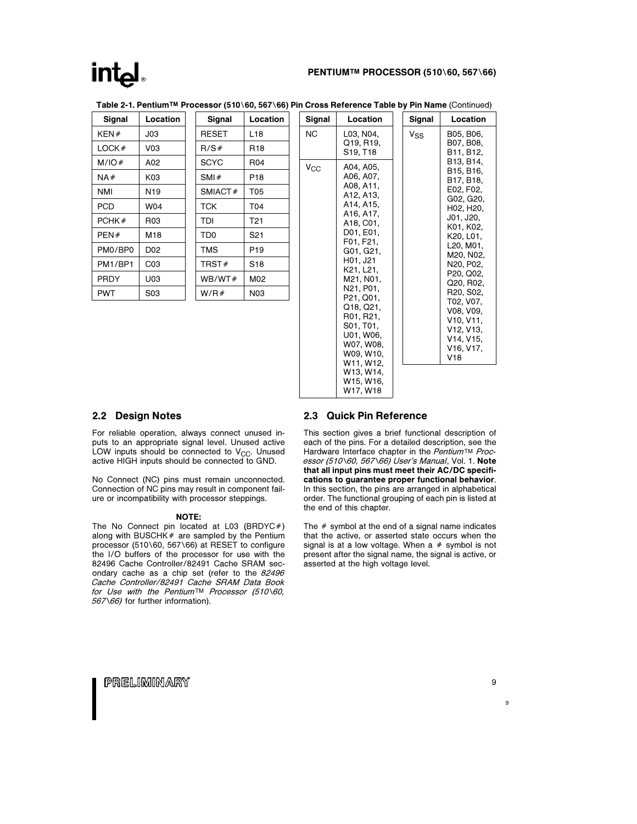### $Ind_{\mathbb{R}}$

### PENTIUM™ PROCESSOR (510\60, 567\66)

| Signal      | Location        | Signal          | Location        | Signal    |
|-------------|-----------------|-----------------|-----------------|-----------|
| KEN#        | J <sub>03</sub> | <b>RESET</b>    | L <sub>18</sub> | <b>NC</b> |
| LOCK#       | V <sub>03</sub> | R/S#            | R <sub>18</sub> |           |
| M/IO#       | A02             | <b>SCYC</b>     | R04             | $V_{CC}$  |
| NA#         | K03             | SMI#            | P <sub>18</sub> |           |
| NMI         | N <sub>19</sub> | SMIACT#         | <b>T05</b>      |           |
| PCD         | W04             | тск             | T04             |           |
| PCHK#       | R <sub>03</sub> | TDI             | T <sub>21</sub> |           |
| PEN#        | M18             | TD <sub>0</sub> | S <sub>21</sub> |           |
| PM0/BP0     | D <sub>02</sub> | <b>TMS</b>      | P <sub>19</sub> |           |
| PM1/BP1     | CO <sub>3</sub> | TRST#           | S <sub>18</sub> |           |
| <b>PRDY</b> | U03             | WB/WT#          | M02             |           |
| <b>PWT</b>  | S03             | W/R#            | N <sub>03</sub> |           |
|             |                 |                 |                 |           |

Table 2-1. Pentium™ Processor (510\60, 567\66) Pin Cross Reference Table by Pin Name (Continued)

#### Location L03, N04, Q19, R19, S19, T18 A04, A05, A06, A07, A08, A11, A12, A13, A14, A15, A16, A17, A18, C01, D01, E01, F01, F21, G01, G21, H01, J21 K21, L21, M21, N01, N21, P01, P21, Q01, Q18, Q21, R01, R21, S01, T01, U01, W06, W07, W08, W09, W10, W11, W12, W13, W14, W15, W16, W17, W18 Signal Location  $V_{SS}$  | B05, B06, B07, B08, B11, B12, B13, B14, B15, B16, B17, B18, E02, F02, G02, G20, H02, H20, J01, J20, K01, K02, K20, L01, L20, M01, M20, N02, N20, P02, P20, Q02, Q20, R02, R20, S02, T02, V07, V08, V09, V10, V11, V12, V13, V14, V15, V16, V17, V18

### 2.2 Design Notes

For reliable operation, always connect unused inputs to an appropriate signal level. Unused active LOW inputs should be connected to  $V_{CC}$ . Unused active HIGH inputs should be connected to GND.

No Connect (NC) pins must remain unconnected. Connection of NC pins may result in component failure or incompatibility with processor steppings.

#### NOTE:

The No Connect pin located at L03 (BRDYC#) along with BUSCHK $#$  are sampled by the Pentium processor (510\60, 567\66) at RESET to configure the I/O buffers of the processor for use with the 82496 Cache Controller/82491 Cache SRAM secondary cache as a chip set (refer to the 82496 Cache Controller/82491 Cache SRAM Data Book for Use with the Pentium<sup>TM</sup> Processor (510\60, 567\66) for further information).

### 2.3 Quick Pin Reference

This section gives a brief functional description of each of the pins. For a detailed description, see the Hardware Interface chapter in the Pentium™ Processor (510\60, 567\66) User's Manual, Vol. 1. Note that all input pins must meet their AC/DC specifications to guarantee proper functional behavior. In this section, the pins are arranged in alphabetical order. The functional grouping of each pin is listed at the end of this chapter.

The  $#$  symbol at the end of a signal name indicates that the active, or asserted state occurs when the signal is at a low voltage. When a  $#$  symbol is not present after the signal name, the signal is active, or asserted at the high voltage level.

PRELIMINARY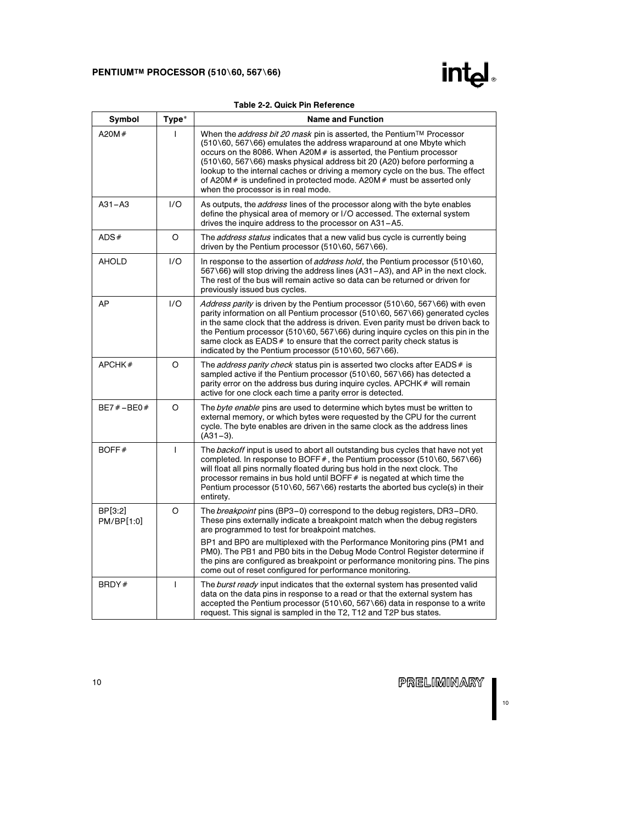

|  | Table 2-2, Quick Pin Reference |
|--|--------------------------------|
|  |                                |

| Symbol                | Type*        | <b>Name and Function</b>                                                                                                                                                                                                                                                                                                                                                                                                                                                                                                |
|-----------------------|--------------|-------------------------------------------------------------------------------------------------------------------------------------------------------------------------------------------------------------------------------------------------------------------------------------------------------------------------------------------------------------------------------------------------------------------------------------------------------------------------------------------------------------------------|
| A20M $#$              |              | When the <i>address bit 20 mask</i> pin is asserted, the Pentium™ Processor<br>(510\60, 567\66) emulates the address wraparound at one Mbyte which<br>occurs on the 8086. When A20M # is asserted, the Pentium processor<br>(510\60, 567\66) masks physical address bit 20 (A20) before performing a<br>lookup to the internal caches or driving a memory cycle on the bus. The effect<br>of A20M $\#$ is undefined in protected mode. A20M $\#$ must be asserted only<br>when the processor is in real mode.           |
| $A31 - A3$            | 1/O          | As outputs, the <i>address</i> lines of the processor along with the byte enables<br>define the physical area of memory or I/O accessed. The external system<br>drives the inquire address to the processor on A31-A5.                                                                                                                                                                                                                                                                                                  |
| ADS#                  | O            | The <i>address status</i> indicates that a new valid bus cycle is currently being<br>driven by the Pentium processor $(510\sqrt{60}, 567\sqrt{66})$ .                                                                                                                                                                                                                                                                                                                                                                   |
| <b>AHOLD</b>          | 1/O          | In response to the assertion of <i>address hold</i> , the Pentium processor (510\60,<br>567\66) will stop driving the address lines (A31-A3), and AP in the next clock.<br>The rest of the bus will remain active so data can be returned or driven for<br>previously issued bus cycles.                                                                                                                                                                                                                                |
| AP                    | 1/O          | Address parity is driven by the Pentium processor (510\60, 567\66) with even<br>parity information on all Pentium processor (510\60, 567\66) generated cycles<br>in the same clock that the address is driven. Even parity must be driven back to<br>the Pentium processor (510\60, 567\66) during inquire cycles on this pin in the<br>same clock as $EADS#$ to ensure that the correct parity check status is<br>indicated by the Pentium processor (510\60, 567\66).                                                 |
| APCHK#                | O            | The <i>address parity check</i> status pin is asserted two clocks after EADS # is<br>sampled active if the Pentium processor $(510\sqrt{60}, 567\sqrt{6})$ has detected a<br>parity error on the address bus during inquire cycles. APCHK # will remain<br>active for one clock each time a parity error is detected.                                                                                                                                                                                                   |
| $BE7# - BE0#$         | O            | The byte enable pins are used to determine which bytes must be written to<br>external memory, or which bytes were requested by the CPU for the current<br>cycle. The byte enables are driven in the same clock as the address lines<br>$(A31-3).$                                                                                                                                                                                                                                                                       |
| BOFF#                 | $\mathbf{I}$ | The <i>backoff</i> input is used to abort all outstanding bus cycles that have not yet<br>completed. In response to BOFF#, the Pentium processor (510\60, 567\66)<br>will float all pins normally floated during bus hold in the next clock. The<br>processor remains in bus hold until BOFF $#$ is negated at which time the<br>Pentium processor (510\60, 567\66) restarts the aborted bus cycle(s) in their<br>entirety.                                                                                             |
| BP[3:2]<br>PM/BP[1:0] | O            | The <i>breakpoint</i> pins (BP3-0) correspond to the debug registers, DR3-DR0.<br>These pins externally indicate a breakpoint match when the debug registers<br>are programmed to test for breakpoint matches.<br>BP1 and BP0 are multiplexed with the Performance Monitoring pins (PM1 and<br>PM0). The PB1 and PB0 bits in the Debug Mode Control Register determine if<br>the pins are configured as breakpoint or performance monitoring pins. The pins<br>come out of reset configured for performance monitoring. |
| BRDY#                 | $\mathbf{I}$ | The burst ready input indicates that the external system has presented valid<br>data on the data pins in response to a read or that the external system has<br>accepted the Pentium processor (510\60, 567\66) data in response to a write<br>request. This signal is sampled in the T2, T12 and T2P bus states.                                                                                                                                                                                                        |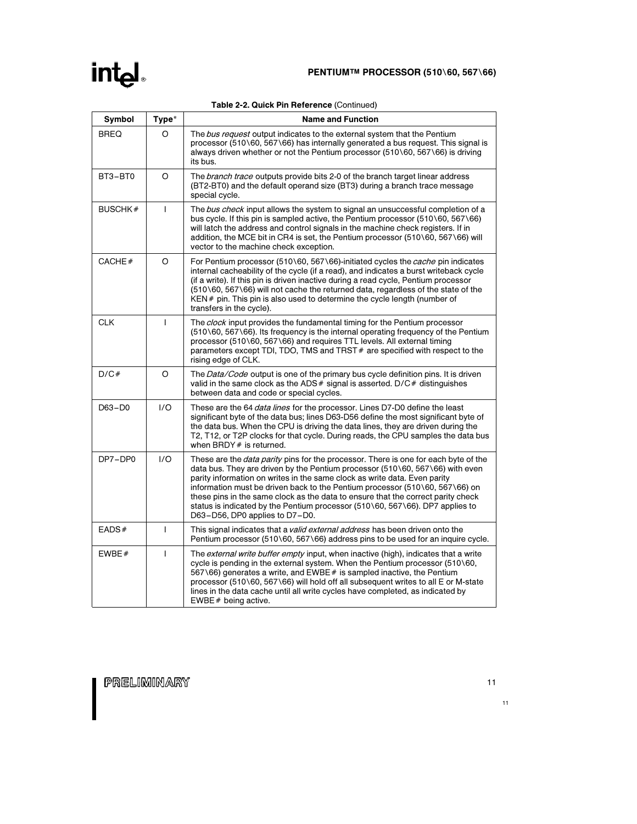|  |  |  |  | Table 2-2. Quick Pin Reference (Continued) |
|--|--|--|--|--------------------------------------------|
|--|--|--|--|--------------------------------------------|

| Symbol         | Type*        | <b>Name and Function</b>                                                                                                                                                                                                                                                                                                                                                                                                                                                                                                                                                 |
|----------------|--------------|--------------------------------------------------------------------------------------------------------------------------------------------------------------------------------------------------------------------------------------------------------------------------------------------------------------------------------------------------------------------------------------------------------------------------------------------------------------------------------------------------------------------------------------------------------------------------|
| <b>BREQ</b>    | O            | The bus request output indicates to the external system that the Pentium<br>processor (510\60, 567\66) has internally generated a bus request. This signal is<br>always driven whether or not the Pentium processor $(510\,60, 567\,66)$ is driving<br>its bus.                                                                                                                                                                                                                                                                                                          |
| BT3-BT0        | O            | The <i>branch trace</i> outputs provide bits 2-0 of the branch target linear address<br>(BT2-BT0) and the default operand size (BT3) during a branch trace message<br>special cycle.                                                                                                                                                                                                                                                                                                                                                                                     |
| <b>BUSCHK#</b> | $\mathbf{I}$ | The bus check input allows the system to signal an unsuccessful completion of a<br>bus cycle. If this pin is sampled active, the Pentium processor (510\60, 567\66)<br>will latch the address and control signals in the machine check registers. If in<br>addition, the MCE bit in CR4 is set, the Pentium processor (510\60, 567\66) will<br>vector to the machine check exception.                                                                                                                                                                                    |
| CACHE#         | O            | For Pentium processor (510\60, 567\66)-initiated cycles the <i>cache</i> pin indicates<br>internal cacheability of the cycle (if a read), and indicates a burst writeback cycle<br>(if a write). If this pin is driven inactive during a read cycle, Pentium processor<br>(510\60, 567\66) will not cache the returned data, regardless of the state of the<br>KEN # pin. This pin is also used to determine the cycle length (number of<br>transfers in the cycle).                                                                                                     |
| <b>CLK</b>     | $\mathbf{I}$ | The clock input provides the fundamental timing for the Pentium processor<br>$(510\setminus 60, 567\setminus 66)$ . Its frequency is the internal operating frequency of the Pentium<br>processor (510\60, 567\66) and requires TTL levels. All external timing<br>parameters except TDI, TDO, TMS and TRST # are specified with respect to the<br>rising edge of CLK.                                                                                                                                                                                                   |
| D/C#           | O            | The <i>Data/Code</i> output is one of the primary bus cycle definition pins. It is driven<br>valid in the same clock as the ADS $#$ signal is asserted. D/C $#$ distinguishes<br>between data and code or special cycles.                                                                                                                                                                                                                                                                                                                                                |
| $D63 - D0$     | 1/O          | These are the 64 <i>data lines</i> for the processor. Lines D7-D0 define the least<br>significant byte of the data bus; lines D63-D56 define the most significant byte of<br>the data bus. When the CPU is driving the data lines, they are driven during the<br>T2, T12, or T2P clocks for that cycle. During reads, the CPU samples the data bus<br>when BRDY # is returned.                                                                                                                                                                                           |
| DP7-DP0        | 1/O          | These are the <i>data parity</i> pins for the processor. There is one for each byte of the<br>data bus. They are driven by the Pentium processor $(510\setminus 60, 567\setminus 66)$ with even<br>parity information on writes in the same clock as write data. Even parity<br>information must be driven back to the Pentium processor (510\60, 567\66) on<br>these pins in the same clock as the data to ensure that the correct parity check<br>status is indicated by the Pentium processor $(510\,60, 567\,66)$ . DP7 applies to<br>D63-D56, DP0 applies to D7-D0. |
| EADS#          | T            | This signal indicates that a <i>valid external address</i> has been driven onto the<br>Pentium processor (510\60, 567\66) address pins to be used for an inquire cycle.                                                                                                                                                                                                                                                                                                                                                                                                  |
| EWBE $#$       | T            | The <i>external write buffer empty</i> input, when inactive (high), indicates that a write<br>cycle is pending in the external system. When the Pentium processor (510\60,<br>567\66) generates a write, and EWBE $#$ is sampled inactive, the Pentium<br>processor (510\60, 567\66) will hold off all subsequent writes to all E or M-state<br>lines in the data cache until all write cycles have completed, as indicated by<br>EWBE $#$ being active.                                                                                                                 |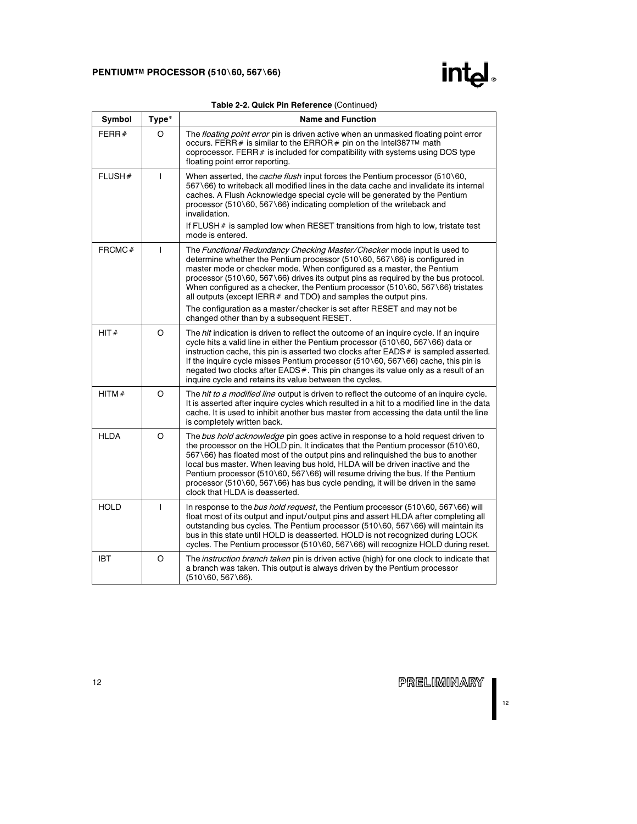

|  |  | Table 2-2. Quick Pin Reference (Continued) |  |
|--|--|--------------------------------------------|--|
|  |  |                                            |  |

| Symbol      | Type*   | <b>Name and Function</b>                                                                                                                                                                                                                                                                                                                                                                                                                                                                                                                       |
|-------------|---------|------------------------------------------------------------------------------------------------------------------------------------------------------------------------------------------------------------------------------------------------------------------------------------------------------------------------------------------------------------------------------------------------------------------------------------------------------------------------------------------------------------------------------------------------|
| FERR $#$    | O       | The floating point error pin is driven active when an unmasked floating point error<br>occurs. FERR # is similar to the ERROR # pin on the Intel387™ math<br>coprocessor. FERR $#$ is included for compatibility with systems using DOS type<br>floating point error reporting.                                                                                                                                                                                                                                                                |
| FLUSH#      | T       | When asserted, the cache flush input forces the Pentium processor (510\60,<br>567\66) to writeback all modified lines in the data cache and invalidate its internal<br>caches. A Flush Acknowledge special cycle will be generated by the Pentium<br>processor (510\60, 567\66) indicating completion of the writeback and<br>invalidation.<br>If FLUSH $#$ is sampled low when RESET transitions from high to low, tristate test                                                                                                              |
|             |         | mode is entered.                                                                                                                                                                                                                                                                                                                                                                                                                                                                                                                               |
| FRCMC#      | T       | The Functional Redundancy Checking Master/Checker mode input is used to<br>determine whether the Pentium processor (510\60, 567\66) is configured in<br>master mode or checker mode. When configured as a master, the Pentium<br>processor (510\60, 567\66) drives its output pins as required by the bus protocol.<br>When configured as a checker, the Pentium processor (510\60, 567\66) tristates<br>all outputs (except IERR $#$ and TDO) and samples the output pins.                                                                    |
|             |         | The configuration as a master/checker is set after RESET and may not be<br>changed other than by a subsequent RESET.                                                                                                                                                                                                                                                                                                                                                                                                                           |
| HIT#        | $\circ$ | The hit indication is driven to reflect the outcome of an inquire cycle. If an inquire<br>cycle hits a valid line in either the Pentium processor (510\60, 567\66) data or<br>instruction cache, this pin is asserted two clocks after $EADS #$ is sampled asserted.<br>If the inquire cycle misses Pentium processor (510\60, 567\66) cache, this pin is<br>negated two clocks after EADS#. This pin changes its value only as a result of an<br>inquire cycle and retains its value between the cycles.                                      |
| HITM#       | $\circ$ | The hit to a modified line output is driven to reflect the outcome of an inquire cycle.<br>It is asserted after inquire cycles which resulted in a hit to a modified line in the data<br>cache. It is used to inhibit another bus master from accessing the data until the line<br>is completely written back.                                                                                                                                                                                                                                 |
| <b>HLDA</b> | O       | The bus hold acknowledge pin goes active in response to a hold request driven to<br>the processor on the HOLD pin. It indicates that the Pentium processor (510\60,<br>567\66) has floated most of the output pins and relinguished the bus to another<br>local bus master. When leaving bus hold, HLDA will be driven inactive and the<br>Pentium processor (510\60, 567\66) will resume driving the bus. If the Pentium<br>processor (510\60, 567\66) has bus cycle pending, it will be driven in the same<br>clock that HLDA is deasserted. |
| <b>HOLD</b> | T       | In response to the bus hold request, the Pentium processor (510\60, 567\66) will<br>float most of its output and input/output pins and assert HLDA after completing all<br>outstanding bus cycles. The Pentium processor (510\60, 567\66) will maintain its<br>bus in this state until HOLD is deasserted. HOLD is not recognized during LOCK<br>cycles. The Pentium processor (510\60, 567\66) will recognize HOLD during reset.                                                                                                              |
| <b>IBT</b>  | $\circ$ | The <i>instruction branch taken</i> pin is driven active (high) for one clock to indicate that<br>a branch was taken. This output is always driven by the Pentium processor<br>$(510\,60, 567\,66)$ .                                                                                                                                                                                                                                                                                                                                          |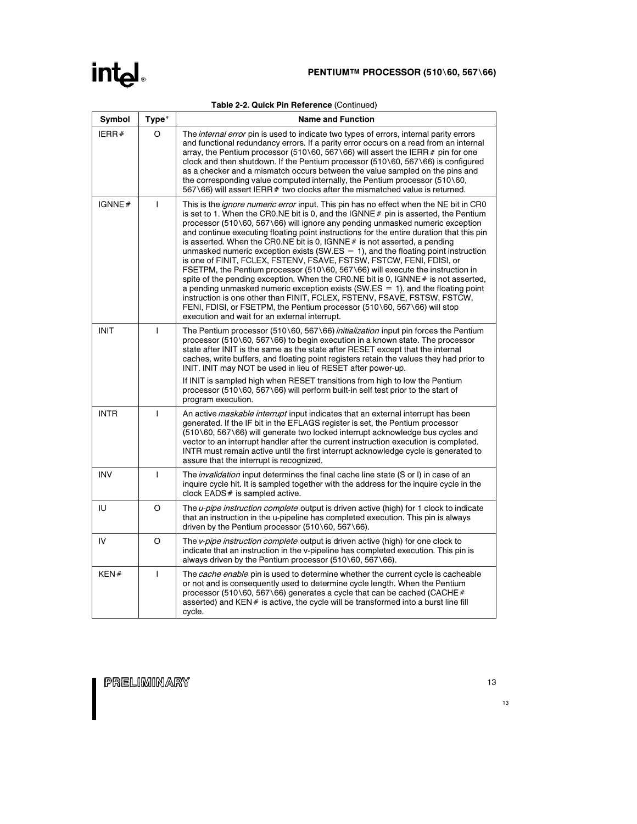|  |  |  |  | Table 2-2. Quick Pin Reference (Continued) |
|--|--|--|--|--------------------------------------------|
|--|--|--|--|--------------------------------------------|

| Symbol      | Type*          | <b>Name and Function</b>                                                                                                                                                                                                                                                                                                                                                                                                                                                                                                                                                                                                                                                                                                                                                                                                                                                                                                                                                                                                                                                                  |
|-------------|----------------|-------------------------------------------------------------------------------------------------------------------------------------------------------------------------------------------------------------------------------------------------------------------------------------------------------------------------------------------------------------------------------------------------------------------------------------------------------------------------------------------------------------------------------------------------------------------------------------------------------------------------------------------------------------------------------------------------------------------------------------------------------------------------------------------------------------------------------------------------------------------------------------------------------------------------------------------------------------------------------------------------------------------------------------------------------------------------------------------|
| IERR#       | O              | The <i>internal error</i> pin is used to indicate two types of errors, internal parity errors<br>and functional redundancy errors. If a parity error occurs on a read from an internal<br>array, the Pentium processor (510\60, 567\66) will assert the IERR $#$ pin for one<br>clock and then shutdown. If the Pentium processor $(510\,60, 567\,66)$ is configured<br>as a checker and a mismatch occurs between the value sampled on the pins and<br>the corresponding value computed internally, the Pentium processor (510\60,<br>567\66) will assert IERR # two clocks after the mismatched value is returned.                                                                                                                                                                                                                                                                                                                                                                                                                                                                      |
| IGNNE#      | $\mathbf{I}$   | This is the <i>ignore numeric error</i> input. This pin has no effect when the NE bit in CR0<br>is set to 1. When the CR0.NE bit is 0, and the $IGNNE#$ pin is asserted, the Pentium<br>processor (510\60, 567\66) will ignore any pending unmasked numeric exception<br>and continue executing floating point instructions for the entire duration that this pin<br>is asserted. When the CR0.NE bit is 0, IGNNE $#$ is not asserted, a pending<br>unmasked numeric exception exists (SW.ES $= 1$ ), and the floating point instruction<br>is one of FINIT, FCLEX, FSTENV, FSAVE, FSTSW, FSTCW, FENI, FDISI, or<br>FSETPM, the Pentium processor (510\60, 567\66) will execute the instruction in<br>spite of the pending exception. When the CRO.NE bit is 0, IGNNE $#$ is not asserted,<br>a pending unmasked numeric exception exists $(SW.ES = 1)$ , and the floating point<br>instruction is one other than FINIT, FCLEX, FSTENV, FSAVE, FSTSW, FSTCW,<br>FENI, FDISI, or FSETPM, the Pentium processor (510\60, 567\66) will stop<br>execution and wait for an external interrupt. |
| <b>INIT</b> | $\mathbf{I}$   | The Pentium processor (510\60, 567\66) <i>initialization</i> input pin forces the Pentium<br>processor (510\60, 567\66) to begin execution in a known state. The processor<br>state after INIT is the same as the state after RESET except that the internal<br>caches, write buffers, and floating point registers retain the values they had prior to<br>INIT. INIT may NOT be used in lieu of RESET after power-up.<br>If INIT is sampled high when RESET transitions from high to low the Pentium<br>processor (510\60, 567\66) will perform built-in self test prior to the start of                                                                                                                                                                                                                                                                                                                                                                                                                                                                                                 |
| <b>INTR</b> | $\mathbf{I}$   | program execution.<br>An active <i>maskable interrupt</i> input indicates that an external interrupt has been<br>generated. If the IF bit in the EFLAGS register is set, the Pentium processor<br>(510\60, 567\66) will generate two locked interrupt acknowledge bus cycles and<br>vector to an interrupt handler after the current instruction execution is completed.<br>INTR must remain active until the first interrupt acknowledge cycle is generated to<br>assure that the interrupt is recognized.                                                                                                                                                                                                                                                                                                                                                                                                                                                                                                                                                                               |
| <b>INV</b>  | $\overline{1}$ | The <i>invalidation</i> input determines the final cache line state (S or I) in case of an<br>inquire cycle hit. It is sampled together with the address for the inquire cycle in the<br>clock EADS # is sampled active.                                                                                                                                                                                                                                                                                                                                                                                                                                                                                                                                                                                                                                                                                                                                                                                                                                                                  |
| IU          | O              | The <i>u-pipe instruction complete</i> output is driven active (high) for 1 clock to indicate<br>that an instruction in the u-pipeline has completed execution. This pin is always<br>driven by the Pentium processor $(510\sqrt{60}, 567\sqrt{66})$ .                                                                                                                                                                                                                                                                                                                                                                                                                                                                                                                                                                                                                                                                                                                                                                                                                                    |
| IV          | O              | The v-pipe instruction complete output is driven active (high) for one clock to<br>indicate that an instruction in the v-pipeline has completed execution. This pin is<br>always driven by the Pentium processor (510\60, 567\66).                                                                                                                                                                                                                                                                                                                                                                                                                                                                                                                                                                                                                                                                                                                                                                                                                                                        |
| KEN#        | $\mathbf{I}$   | The cache enable pin is used to determine whether the current cycle is cacheable<br>or not and is consequently used to determine cycle length. When the Pentium<br>processor (510\60, 567\66) generates a cycle that can be cached (CACHE $#$<br>asserted) and $KEN#$ is active, the cycle will be transformed into a burst line fill<br>cycle.                                                                                                                                                                                                                                                                                                                                                                                                                                                                                                                                                                                                                                                                                                                                           |

PRELIMINARY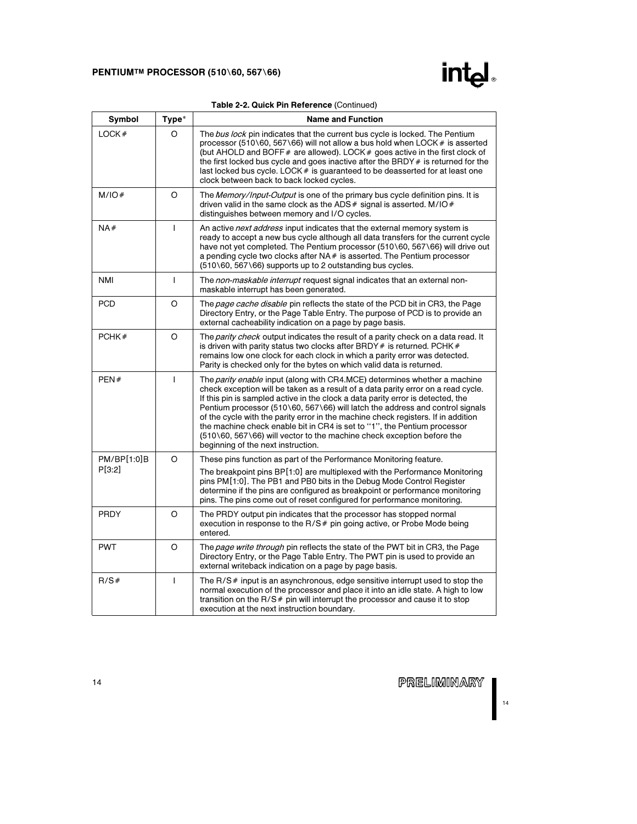

|  |  | Table 2-2. Quick Pin Reference (Continued) |  |
|--|--|--------------------------------------------|--|
|--|--|--------------------------------------------|--|

| Symbol      | Type*          | <b>Name and Function</b>                                                                                                                                                                                                                                                                                                                                                                                                                                                                                                                                                                                                   |
|-------------|----------------|----------------------------------------------------------------------------------------------------------------------------------------------------------------------------------------------------------------------------------------------------------------------------------------------------------------------------------------------------------------------------------------------------------------------------------------------------------------------------------------------------------------------------------------------------------------------------------------------------------------------------|
| LOCK#       | O              | The bus lock pin indicates that the current bus cycle is locked. The Pentium<br>processor (510\60, 567\66) will not allow a bus hold when LOCK # is asserted<br>(but AHOLD and BOFF $#$ are allowed). LOCK $#$ goes active in the first clock of<br>the first locked bus cycle and goes inactive after the BRDY # is returned for the<br>last locked bus cycle. LOCK # is guaranteed to be deasserted for at least one<br>clock between back to back locked cycles.                                                                                                                                                        |
| M/IO#       | O              | The Memory/Input-Output is one of the primary bus cycle definition pins. It is<br>driven valid in the same clock as the ADS $#$ signal is asserted. M/IO $#$<br>distinguishes between memory and I/O cycles.                                                                                                                                                                                                                                                                                                                                                                                                               |
| NA#         | T              | An active <i>next address</i> input indicates that the external memory system is<br>ready to accept a new bus cycle although all data transfers for the current cycle<br>have not yet completed. The Pentium processor (510\60, 567\66) will drive out<br>a pending cycle two clocks after $NA#$ is asserted. The Pentium processor<br>(510\60, 567\66) supports up to 2 outstanding bus cycles.                                                                                                                                                                                                                           |
| <b>NMI</b>  | T              | The non-maskable interrupt request signal indicates that an external non-<br>maskable interrupt has been generated.                                                                                                                                                                                                                                                                                                                                                                                                                                                                                                        |
| <b>PCD</b>  | $\circ$        | The page cache disable pin reflects the state of the PCD bit in CR3, the Page<br>Directory Entry, or the Page Table Entry. The purpose of PCD is to provide an<br>external cacheability indication on a page by page basis.                                                                                                                                                                                                                                                                                                                                                                                                |
| PCHK#       | $\circ$        | The parity check output indicates the result of a parity check on a data read. It<br>is driven with parity status two clocks after BRDY $#$ is returned. PCHK $#$<br>remains low one clock for each clock in which a parity error was detected.<br>Parity is checked only for the bytes on which valid data is returned.                                                                                                                                                                                                                                                                                                   |
| PEN#        | $\overline{1}$ | The <i>parity enable</i> input (along with CR4.MCE) determines whether a machine<br>check exception will be taken as a result of a data parity error on a read cycle.<br>If this pin is sampled active in the clock a data parity error is detected, the<br>Pentium processor (510\60, 567\66) will latch the address and control signals<br>of the cycle with the parity error in the machine check registers. If in addition<br>the machine check enable bit in CR4 is set to "1", the Pentium processor<br>(510\60, 567\66) will vector to the machine check exception before the<br>beginning of the next instruction. |
| PM/BP[1:0]B | $\circ$        | These pins function as part of the Performance Monitoring feature.                                                                                                                                                                                                                                                                                                                                                                                                                                                                                                                                                         |
| P[3:2]      |                | The breakpoint pins BP[1:0] are multiplexed with the Performance Monitoring<br>pins PM[1:0]. The PB1 and PB0 bits in the Debug Mode Control Register<br>determine if the pins are configured as breakpoint or performance monitoring<br>pins. The pins come out of reset configured for performance monitoring.                                                                                                                                                                                                                                                                                                            |
| PRDY        | O              | The PRDY output pin indicates that the processor has stopped normal<br>execution in response to the $R/S$ # pin going active, or Probe Mode being<br>entered.                                                                                                                                                                                                                                                                                                                                                                                                                                                              |
| <b>PWT</b>  | O              | The page write through pin reflects the state of the PWT bit in CR3, the Page<br>Directory Entry, or the Page Table Entry. The PWT pin is used to provide an<br>external writeback indication on a page by page basis.                                                                                                                                                                                                                                                                                                                                                                                                     |
| R/S#        | $\overline{1}$ | The $R/S$ input is an asynchronous, edge sensitive interrupt used to stop the<br>normal execution of the processor and place it into an idle state. A high to low<br>transition on the R/S# pin will interrupt the processor and cause it to stop<br>execution at the next instruction boundary.                                                                                                                                                                                                                                                                                                                           |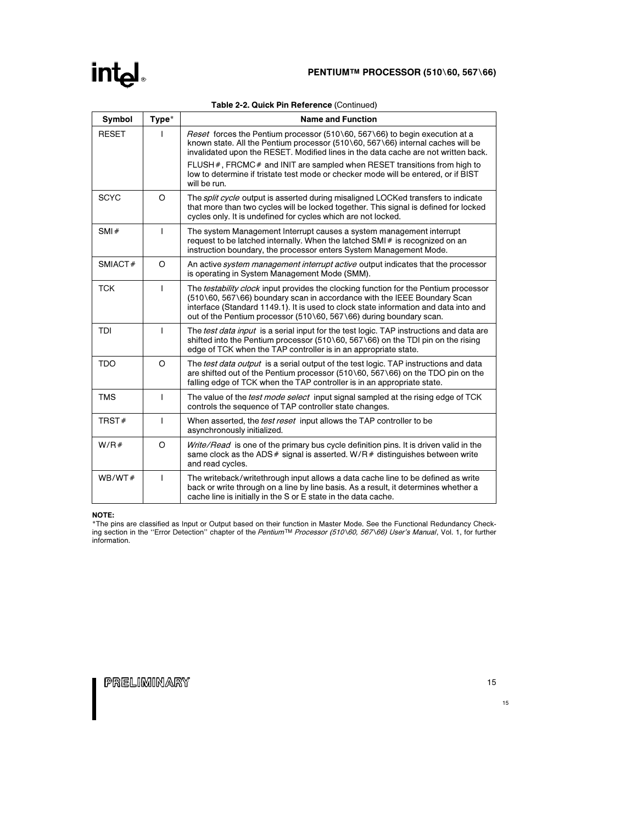### int<sub>el</sub>

| Symbol       | Type*        | <b>Name and Function</b>                                                                                                                                                                                                                                                                                                        |
|--------------|--------------|---------------------------------------------------------------------------------------------------------------------------------------------------------------------------------------------------------------------------------------------------------------------------------------------------------------------------------|
| <b>RESET</b> |              | <i>Reset</i> forces the Pentium processor (510\60, 567\66) to begin execution at a<br>known state. All the Pentium processor (510\60, 567\66) internal caches will be<br>invalidated upon the RESET. Modified lines in the data cache are not written back.                                                                     |
|              |              | FLUSH $#$ , FRCMC $#$ and INIT are sampled when RESET transitions from high to<br>low to determine if tristate test mode or checker mode will be entered, or if BIST<br>will be run.                                                                                                                                            |
| <b>SCYC</b>  | $\circ$      | The <i>split cycle</i> output is asserted during misaligned LOCKed transfers to indicate<br>that more than two cycles will be locked together. This signal is defined for locked<br>cycles only. It is undefined for cycles which are not locked.                                                                               |
| SMI#         | $\mathbf{I}$ | The system Management Interrupt causes a system management interrupt<br>request to be latched internally. When the latched SMI# is recognized on an<br>instruction boundary, the processor enters System Management Mode.                                                                                                       |
| SMIACT#      | $\circ$      | An active <i>system management interrupt active</i> output indicates that the processor<br>is operating in System Management Mode (SMM).                                                                                                                                                                                        |
| <b>TCK</b>   | T            | The testability clock input provides the clocking function for the Pentium processor<br>(510\60, 567\66) boundary scan in accordance with the IEEE Boundary Scan<br>interface (Standard 1149.1). It is used to clock state information and data into and<br>out of the Pentium processor (510\60, 567\66) during boundary scan. |
| TDI          | $\mathbf{I}$ | The <i>test data input</i> is a serial input for the test logic. TAP instructions and data are<br>shifted into the Pentium processor (510\60, 567\66) on the TDI pin on the rising<br>edge of TCK when the TAP controller is in an appropriate state.                                                                           |
| <b>TDO</b>   | $\circ$      | The test data output is a serial output of the test logic. TAP instructions and data<br>are shifted out of the Pentium processor (510\60, 567\66) on the TDO pin on the<br>falling edge of TCK when the TAP controller is in an appropriate state.                                                                              |
| <b>TMS</b>   | T            | The value of the <i>test mode select</i> input signal sampled at the rising edge of TCK<br>controls the sequence of TAP controller state changes.                                                                                                                                                                               |
| TRST#        | ı            | When asserted, the <i>test reset</i> input allows the TAP controller to be<br>asynchronously initialized.                                                                                                                                                                                                                       |
| W/R#         | O            | Write/Read is one of the primary bus cycle definition pins. It is driven valid in the<br>same clock as the ADS $#$ signal is asserted. W/R $#$ distinguishes between write<br>and read cycles.                                                                                                                                  |
| WB/WT#       | T            | The writeback/writethrough input allows a data cache line to be defined as write<br>back or write through on a line by line basis. As a result, it determines whether a<br>cache line is initially in the S or E state in the data cache.                                                                                       |

### Table 2-2. Quick Pin Reference (Continued)

### NOTE:

 $\mathbf{L}$ 

\*The pins are classified as Input or Output based on their function in Master Mode. See the Functional Redundancy Check-<br>ing section in the ''Error Detection'' chapter of the *Pentium™ Processor (510\60, 567\66) User's Ma* information.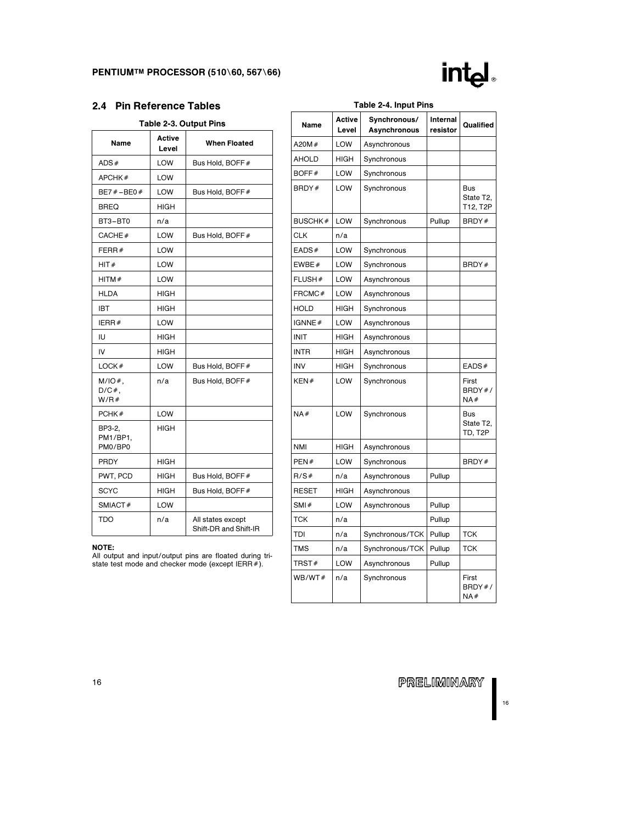

### 2.4 Pin Reference Tables

|                               |                        | Table 2-3. Output Pins                     |
|-------------------------------|------------------------|--------------------------------------------|
| Name                          | <b>Active</b><br>Level | <b>When Floated</b>                        |
| ADS#                          | <b>LOW</b>             | Bus Hold, BOFF#                            |
| APCHK#                        | <b>LOW</b>             |                                            |
| BE7#-BE0#                     | <b>LOW</b>             | Bus Hold, BOFF#                            |
| <b>BREQ</b>                   | <b>HIGH</b>            |                                            |
| BT3-BT0                       | n/a                    |                                            |
| CACHE#                        | <b>LOW</b>             | Bus Hold, BOFF#                            |
| FERR#                         | <b>LOW</b>             |                                            |
| HIT#                          | <b>LOW</b>             |                                            |
| HITM#                         | <b>LOW</b>             |                                            |
| <b>HLDA</b>                   | <b>HIGH</b>            |                                            |
| <b>IBT</b>                    | <b>HIGH</b>            |                                            |
| IERR#                         | <b>LOW</b>             |                                            |
| IU                            | <b>HIGH</b>            |                                            |
| IV                            | <b>HIGH</b>            |                                            |
| LOCK#                         | <b>LOW</b>             | Bus Hold, BOFF#                            |
| $M/IO#$ ,<br>$D/C#$ ,<br>W/R# | n/a                    | Bus Hold, BOFF#                            |
| PCHK#                         | <b>LOW</b>             |                                            |
| BP3-2,<br>PM1/BP1,<br>PM0/BP0 | <b>HIGH</b>            |                                            |
| <b>PRDY</b>                   | <b>HIGH</b>            |                                            |
| PWT, PCD                      | <b>HIGH</b>            | Bus Hold, BOFF#                            |
| <b>SCYC</b>                   | <b>HIGH</b>            | Bus Hold, BOFF#                            |
| SMIACT#                       | <b>LOW</b>             |                                            |
| TDO                           | n/a                    | All states except<br>Shift-DR and Shift-IR |

#### NOTE:

All output and input/output pins are floated during tri-state test mode and checker mode (except IERRÝ).

| Name           | Active<br>Level | Synchronous/<br>Asynchronous | Internal<br>resistor | Qualified                    |
|----------------|-----------------|------------------------------|----------------------|------------------------------|
| A20M#          | LOW             | Asynchronous                 |                      |                              |
| <b>AHOLD</b>   | HIGH            | Synchronous                  |                      |                              |
| BOFF#          | LOW             | Synchronous                  |                      |                              |
| BRDY#          | LOW             | Synchronous                  |                      | Bus<br>State T2,<br>T12, T2P |
| <b>BUSCHK#</b> | LOW             | Synchronous                  | Pullup               | BRDY#                        |
| CLK            | n/a             |                              |                      |                              |
| EADS#          | LOW             | Synchronous                  |                      |                              |
| EWBE#          | LOW             | Synchronous                  |                      | BRDY#                        |
| FLUSH#         | LOW             | Asynchronous                 |                      |                              |
| FRCMC#         | LOW             | Asynchronous                 |                      |                              |
| <b>HOLD</b>    | HIGH            | Synchronous                  |                      |                              |
| IGNNE#         | LOW             | Asynchronous                 |                      |                              |
| INIT           | HIGH            | Asynchronous                 |                      |                              |
| INTR           | HIGH            | Asynchronous                 |                      |                              |
| <b>INV</b>     | HIGH            | Synchronous                  |                      | EADS#                        |
| KEN#           | LOW             | Synchronous                  |                      | First<br>BRDY#/<br>NA#       |
| NA#            | LOW             | Synchronous                  |                      | Bus<br>State T2,<br>TD, T2P  |
| <b>NMI</b>     | <b>HIGH</b>     | Asynchronous                 |                      |                              |
| PEN#           | LOW             | Synchronous                  |                      | BRDY#                        |
| R/S#           | n/a             | Asynchronous                 | Pullup               |                              |
| <b>RESET</b>   | HIGH            | Asynchronous                 |                      |                              |
| SMI#           | LOW             | Asynchronous                 | Pullup               |                              |
| <b>TCK</b>     | n/a             |                              | Pullup               |                              |
| TDI            | n/a             | Synchronous/TCK              | Pullup               | <b>TCK</b>                   |
| <b>TMS</b>     | n/a             | Synchronous/TCK              | Pullup               | TCK                          |
| TRST#          | LOW             | Asynchronous                 | Pullup               |                              |
| WB/WT#         | n/a             | Synchronous                  |                      | First<br>BRDY#/<br>NA#       |

### Table 2-4. Input Pins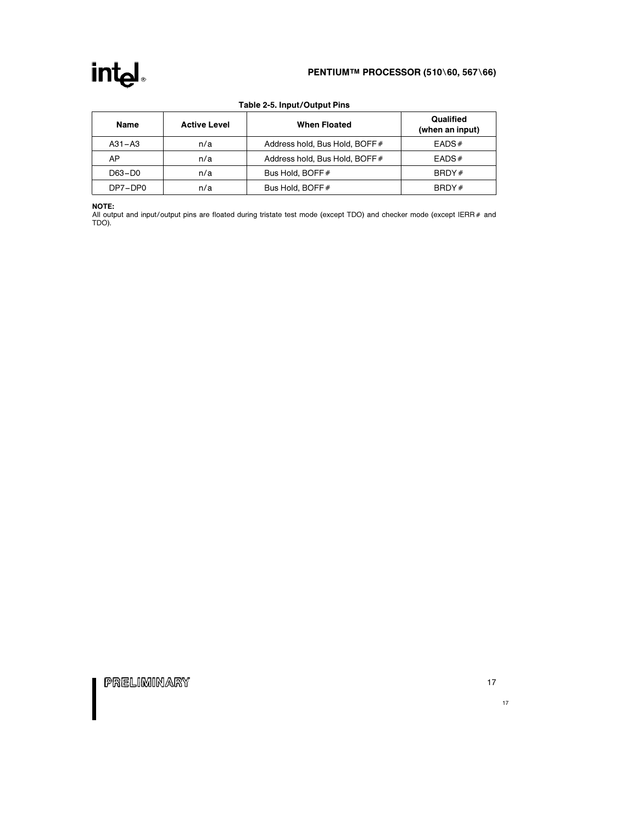### PENTIUM™ PROCESSOR (510\60, 567\66)

| <b>Name</b> | <b>Active Level</b> | <b>When Floated</b>            | Qualified<br>(when an input) |
|-------------|---------------------|--------------------------------|------------------------------|
| $A31 - A3$  | n/a                 | Address hold, Bus Hold, BOFF # | EADS#                        |
| AP          | n/a                 | Address hold, Bus Hold, BOFF # | EADS#                        |
| D63-D0      | n/a                 | Bus Hold, BOFF#                | BBDY#                        |
| DP7-DP0     | n/a                 | Bus Hold, BOFF#                | BRDY#                        |

### Table 2-5. Input/Output Pins

NOTE:

All output and input/output pins are floated during tristate test mode (except TDO) and checker mode (except IERR# and<br>TDO).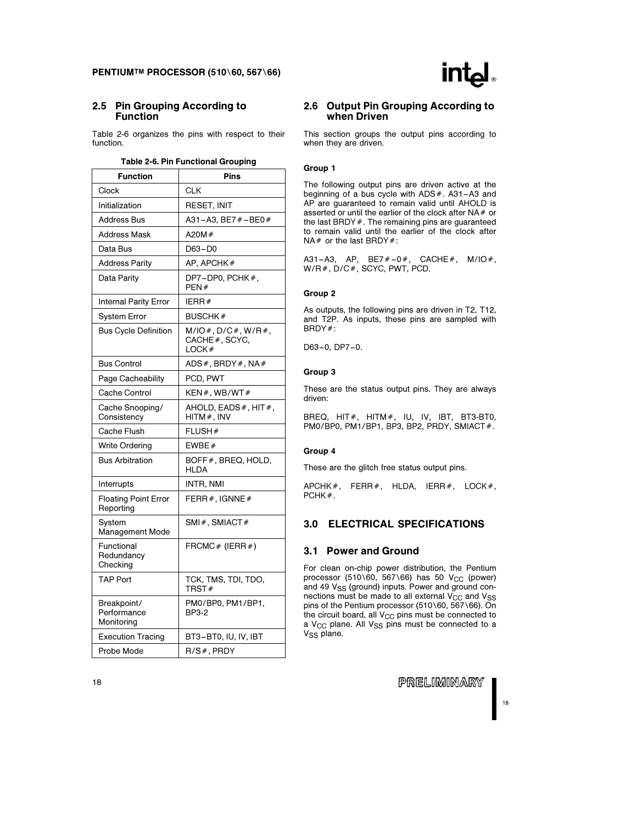### 2.5 Pin Grouping According to Function

Table 2-6 organizes the pins with respect to their function.

| Table 2-6. Pin Functional Grouping |  |  |  |
|------------------------------------|--|--|--|
|------------------------------------|--|--|--|

| <b>Function</b>                          | Pins                                                  |
|------------------------------------------|-------------------------------------------------------|
| Clock                                    | CLK                                                   |
| Initialization                           | RESET, INIT                                           |
| Address Bus                              | A31-A3, BE7 # - BE0 #                                 |
| <b>Address Mask</b>                      | A20M $#$                                              |
| Data Bus                                 | $D63 - D0$                                            |
| <b>Address Parity</b>                    | AP, APCHK#                                            |
| Data Parity                              | DP7-DP0, PCHK#,<br>PEN#                               |
| <b>Internal Parity Error</b>             | IERR#                                                 |
| System Error                             | <b>BUSCHK#</b>                                        |
| <b>Bus Cycle Definition</b>              | $M/IO#$ , $D/C#$ , $W/R#$ ,<br>CACHE#, SCYC,<br>LOCK# |
| <b>Bus Control</b>                       | ADS $#$ , BRDY $#$ , NA $#$                           |
| Page Cacheability                        | PCD, PWT                                              |
| Cache Control                            | KEN#.WB/WT#                                           |
| Cache Snooping/<br>Consistency           | AHOLD, EADS $#$ , HIT $#$ ,<br>$HITM#$ , INV          |
| Cache Flush                              | FLUSH#                                                |
| <b>Write Ordering</b>                    | EWBE#                                                 |
| <b>Bus Arbitration</b>                   | BOFF#, BREQ, HOLD,<br>HLDA                            |
| Interrupts                               | INTR, NMI                                             |
| <b>Floating Point Error</b><br>Reporting | FERR $#$ , IGNNE $#$                                  |
| System<br>Management Mode                | SMI#, SMIACT#                                         |
| Functional<br>Redundancy<br>Checking     | FRCMC# (IERR#)                                        |
| <b>TAP Port</b>                          | TCK, TMS, TDI, TDO,<br>TRST#                          |
| Breakpoint/<br>Performance<br>Monitoring | PM0/BP0, PM1/BP1,<br>BP3-2                            |
| <b>Execution Tracing</b>                 | BT3-BT0, IU, IV, IBT                                  |
| Probe Mode                               | R/S#, PRDY                                            |

### 2.6 Output Pin Grouping According to when Driven

This section groups the output pins according to when they are driven.

### Group 1

The following output pins are driven active at the beginning of a bus cycle with  $ADS#$ .  $A31 - A3$  and AP are guaranteed to remain valid until AHOLD is asserted or until the earlier of the clock after  $NA#$  or the last BRDY  $#$ . The remaining pins are guaranteed to remain valid until the earlier of the clock after  $NA#$  or the last BRDY#:

A31-A3, AP, BE7 $# -0#$ , CACHE $#$ , M/IO $#$ , W/R#, D/C#, SCYC, PWT, PCD.

### Group 2

As outputs, the following pins are driven in T2, T12, and T2P. As inputs, these pins are sampled with BRDY#:

D63-0, DP7-0.

#### Group 3

These are the status output pins. They are always driven:

BREQ, HIT $#$ , HITM $#$ , IU, IV, IBT, BT3-BT0, PM0/BP0, PM1/BP1, BP3, BP2, PRDY, SMIACT#.

### Group 4

These are the glitch free status output pins.

APCHK#, FERR#, HLDA, IERR#, LOCK#,  $PCHK#$ .

### 3.0 ELECTRICAL SPECIFICATIONS

### 3.1 Power and Ground

For clean on-chip power distribution, the Pentium processor (510\60, 567\66) has 50 V<sub>CC</sub> (power) and 49 V<sub>SS</sub> (ground) inputs. Power and ground connections must be made to all external  $V_{CC}$  and  $V_{SS}$ pins of the Pentium processor (510\60, 567\66). On the circuit board, all  $V_{CC}$  pins must be connected to a  $V_{CC}$  plane. All  $V_{SS}$  pins must be connected to a V<sub>SS</sub> plane.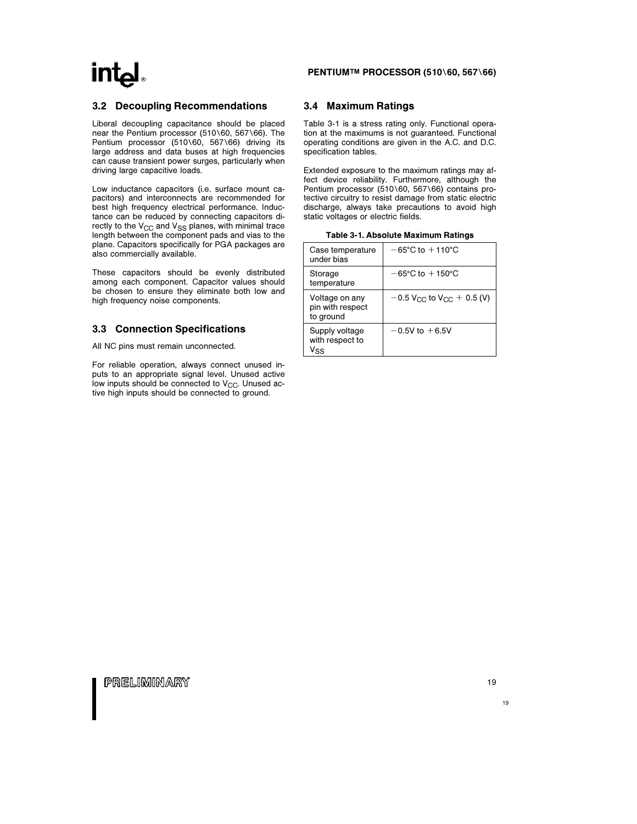### PENTIUM™ PROCESSOR (510\60, 567\66)

### 3.2 Decoupling Recommendations

Liberal decoupling capacitance should be placed near the Pentium processor (510\60, 567\66). The Pentium processor (510\60, 567\66) driving its large address and data buses at high frequencies can cause transient power surges, particularly when driving large capacitive loads.

Low inductance capacitors (i.e. surface mount capacitors) and interconnects are recommended for best high frequency electrical performance. Inductance can be reduced by connecting capacitors directly to the  $V_{CC}$  and  $V_{SS}$  planes, with minimal trace length between the component pads and vias to the plane. Capacitors specifically for PGA packages are also commercially available.

These capacitors should be evenly distributed among each component. Capacitor values should be chosen to ensure they eliminate both low and high frequency noise components.

### 3.3 Connection Specifications

All NC pins must remain unconnected.

For reliable operation, always connect unused inputs to an appropriate signal level. Unused active low inputs should be connected to V<sub>CC</sub>. Unused active high inputs should be connected to ground.

### 3.4 Maximum Ratings

Table 3-1 is a stress rating only. Functional operation at the maximums is not guaranteed. Functional operating conditions are given in the A.C. and D.C. specification tables.

Extended exposure to the maximum ratings may affect device reliability. Furthermore, although the Pentium processor (510\60, 567\66) contains protective circuitry to resist damage from static electric discharge, always take precautions to avoid high static voltages or electric fields.

|  | Table 3-1. Absolute Maximum Ratings |  |  |
|--|-------------------------------------|--|--|
|--|-------------------------------------|--|--|

| Case temperature<br>under bias                  | $-65^{\circ}$ C to $+110^{\circ}$ C                 |
|-------------------------------------------------|-----------------------------------------------------|
| Storage<br>temperature                          | $-65^{\circ}$ C to $+150^{\circ}$ C                 |
| Voltage on any<br>pin with respect<br>to ground | $-0.5$ V <sub>CC</sub> to V <sub>CC</sub> + 0.5 (V) |
| Supply voltage<br>with respect to<br>Vss        | $-0.5V$ to $+6.5V$                                  |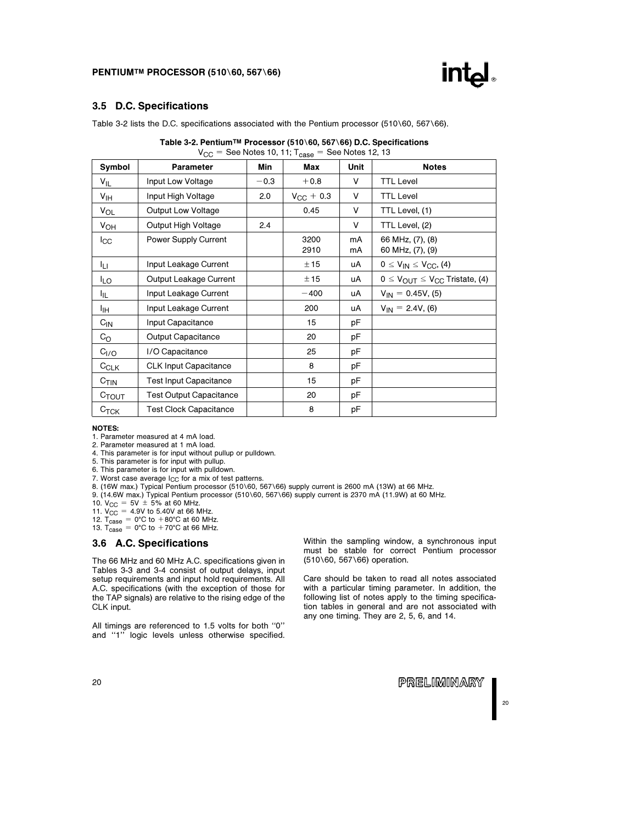### PENTIUMTM PROCESSOR (510\60, 567\66)



### 3.5 D.C. Specifications

Table 3-2 lists the D.C. specifications associated with the Pentium processor (510\60, 567\66).

| ≚GG<br>$-$ OCC NOICS TO, TT, TCASE<br>$-$ 000 110100 14, 10 |                                |        |                |          |                                                          |  |  |  |
|-------------------------------------------------------------|--------------------------------|--------|----------------|----------|----------------------------------------------------------|--|--|--|
| Symbol                                                      | Parameter                      | Min    | Max            | Unit     | <b>Notes</b>                                             |  |  |  |
| $V_{IL}$                                                    | Input Low Voltage              | $-0.3$ | $+0.8$         | V        | <b>TTL Level</b>                                         |  |  |  |
| $V_{\text{IH}}$                                             | Input High Voltage             | 2.0    | $V_{CC}$ + 0.3 | V        | <b>TTL Level</b>                                         |  |  |  |
| $V_{OL}$                                                    | Output Low Voltage             |        | 0.45           | V        | TTL Level, (1)                                           |  |  |  |
| $V_{OH}$                                                    | Output High Voltage            | 2.4    |                | V        | TTL Level, (2)                                           |  |  |  |
| $_{\rm lcc}$                                                | Power Supply Current           |        | 3200<br>2910   | mA<br>mA | 66 MHz, (7), (8)<br>60 MHz, (7), (9)                     |  |  |  |
| łц.                                                         | Input Leakage Current          |        | ± 15           | uA       | $0 \leq V_{IN} \leq V_{CC}$ , (4)                        |  |  |  |
| ILO                                                         | Output Leakage Current         |        | ± 15           | uA       | $0 \leq V_{\text{OUT}} \leq V_{\text{CC}}$ Tristate, (4) |  |  |  |
| 址                                                           | Input Leakage Current          |        | $-400$         | uA       | $V_{IN} = 0.45V, (5)$                                    |  |  |  |
| Iін                                                         | Input Leakage Current          |        | 200            | uA       | $V_{IN} = 2.4V, (6)$                                     |  |  |  |
| $C_{IN}$                                                    | Input Capacitance              |        | 15             | рF       |                                                          |  |  |  |
| $C_{\rm O}$                                                 | <b>Output Capacitance</b>      |        | 20             | рF       |                                                          |  |  |  |
| C <sub>I/O</sub>                                            | I/O Capacitance                |        | 25             | рF       |                                                          |  |  |  |
| $C_{CLK}$                                                   | <b>CLK Input Capacitance</b>   |        | 8              | рF       |                                                          |  |  |  |
| C <sub>TIN</sub>                                            | <b>Test Input Capacitance</b>  |        | 15             | рF       |                                                          |  |  |  |
| $C_{TOUT}$                                                  | <b>Test Output Capacitance</b> |        | 20             | рF       |                                                          |  |  |  |
| $C_{\mathsf{TCK}}$                                          | <b>Test Clock Capacitance</b>  |        | 8              | pF       |                                                          |  |  |  |

| Table 3-2. Pentium™ Processor (510\60, 567\66) D.C. Specifications |
|--------------------------------------------------------------------|
| $V_{CC}$ = See Notes 10, 11; $T_{case}$ = See Notes 12, 13         |

#### NOTES:

1. Parameter measured at 4 mA load.

2. Parameter measured at 1 mA load.

4. This parameter is for input without pullup or pulldown.

5. This parameter is for input with pullup.

6. This parameter is for input with pulldown.

7. Worst case average  $I_{CC}$  for a mix of test patterns.

8. (16W max.) Typical Pentium processor (510\60, 567\66) supply current is 2600 mA (13W) at 66 MHz.

9. (14.6W max.) Typical Pentium processor (510\60, 567\66) supply current is 2370 mA (11.9W) at 60 MHz.

10.  $V_{CC} = 5V \pm 5%$  at 60 MHz.

11.  $V_{\text{CC}}^{\text{C}} = 4.9V$  to 5.40V at 66 MHz.<br>12. T<sub>Case</sub> = 0°C to +80°C at 60 MHz.<br>13. T<sub>Case</sub> = 0°C to +70°C at 66 MHz.

### 3.6 A.C. Specifications

The 66 MHz and 60 MHz A.C. specifications given in Tables 3-3 and 3-4 consist of output delays, input setup requirements and input hold requirements. All A.C. specifications (with the exception of those for the TAP signals) are relative to the rising edge of the CLK input.

All timings are referenced to 1.5 volts for both ''0'' and ''1'' logic levels unless otherwise specified. Within the sampling window, a synchronous input must be stable for correct Pentium processor (510\60, 567\66) operation.

Care should be taken to read all notes associated with a particular timing parameter. In addition, the following list of notes apply to the timing specification tables in general and are not associated with any one timing. They are 2, 5, 6, and 14.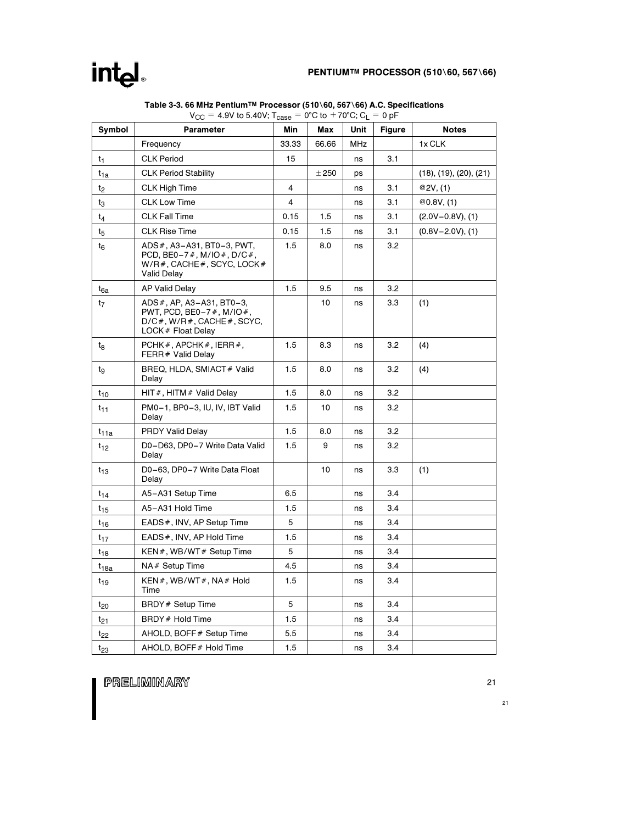### PENTIUM™ PROCESSOR (510\60, 567\66)

| <b>Symbol</b>    | Parameter                                                                                                     | Min   | Max   | Unit | <b>Figure</b> | <b>Notes</b>                      |
|------------------|---------------------------------------------------------------------------------------------------------------|-------|-------|------|---------------|-----------------------------------|
|                  | Frequency                                                                                                     | 33.33 | 66.66 | MHz  |               | 1x CLK                            |
| t <sub>1</sub>   | <b>CLK Period</b>                                                                                             | 15    |       | ns   | 3.1           |                                   |
| $t_{1a}$         | <b>CLK Period Stability</b>                                                                                   |       | ±250  | ps   |               | $(18)$ , $(19)$ , $(20)$ , $(21)$ |
| t2               | CLK High Time                                                                                                 | 4     |       | ns   | 3.1           | @2V, (1)                          |
| tз               | <b>CLK Low Time</b>                                                                                           | 4     |       | ns   | 3.1           | @0.8V, (1)                        |
| t <sub>4</sub>   | <b>CLK Fall Time</b>                                                                                          | 0.15  | 1.5   | ns   | 3.1           | $(2.0V - 0.8V)$ , (1)             |
| t5               | <b>CLK Rise Time</b>                                                                                          | 0.15  | 1.5   | ns   | 3.1           | $(0.8V - 2.0V)$ , (1)             |
| t <sub>6</sub>   | ADS #, A3-A31, BT0-3, PWT,<br>PCD, BE0-7#, M/IO#, D/C#,<br>$W/R$ #, CACHE#, SCYC, LOCK#<br><b>Valid Delay</b> | 1.5   | 8.0   | ns   | 3.2           |                                   |
| $t_{6a}$         | <b>AP Valid Delay</b>                                                                                         | 1.5   | 9.5   | ns   | 3.2           |                                   |
| $t_7$            | ADS #, AP, A3-A31, BT0-3,<br>PWT, PCD, BE0-7#, M/IO#,<br>$D/C$ #, W/R #, CACHE #, SCYC,<br>LOCK # Float Delay |       | 10    | ns   | 3.3           | (1)                               |
| t <sub>8</sub>   | PCHK#, APCHK#, IERR#,<br>FERR# Valid Delay                                                                    | 1.5   | 8.3   | ns   | 3.2           | (4)                               |
| tg               | BREQ, HLDA, SMIACT # Valid<br>Delay                                                                           | 1.5   | 8.0   | ns   | 3.2           | (4)                               |
| $t_{10}$         | HIT#, HITM# Valid Delay                                                                                       | 1.5   | 8.0   | ns   | 3.2           |                                   |
| t <sub>11</sub>  | PM0-1, BP0-3, IU, IV, IBT Valid<br>Delay                                                                      | 1.5   | 10    | ns   | 3.2           |                                   |
| t <sub>11a</sub> | <b>PRDY Valid Delay</b>                                                                                       | 1.5   | 8.0   | ns   | 3.2           |                                   |
| $t_{12}$         | D0-D63, DP0-7 Write Data Valid<br>Delay                                                                       | 1.5   | 9     | ns   | 3.2           |                                   |
| $t_{13}$         | D0-63, DP0-7 Write Data Float<br>Delay                                                                        |       | 10    | ns   | 3.3           | (1)                               |
| $t_{14}$         | A5-A31 Setup Time                                                                                             | 6.5   |       | ns   | 3.4           |                                   |
| $t_{15}$         | A5-A31 Hold Time                                                                                              | 1.5   |       | ns   | 3.4           |                                   |
| t <sub>16</sub>  | EADS#, INV, AP Setup Time                                                                                     | 5     |       | ns   | 3.4           |                                   |
| $t_{17}$         | EADS#, INV, AP Hold Time                                                                                      | 1.5   |       | ns   | 3.4           |                                   |
| t <sub>18</sub>  | KEN#, WB/WT# Setup Time                                                                                       | 5     |       | ns   | 3.4           |                                   |
| t <sub>18a</sub> | NA# Setup Time                                                                                                | 4.5   |       | ns   | 3.4           |                                   |
| $t_{19}$         | KEN#, WB/WT#, NA# Hold<br>Time                                                                                | 1.5   |       | ns   | 3.4           |                                   |
| t <sub>20</sub>  | BRDY # Setup Time                                                                                             | 5     |       | ns   | 3.4           |                                   |
| $t_{21}$         | BRDY # Hold Time                                                                                              | 1.5   |       | ns   | 3.4           |                                   |
| t <sub>22</sub>  | AHOLD, BOFF # Setup Time                                                                                      | 5.5   |       | ns   | 3.4           |                                   |
| $t_{23}$         | AHOLD, BOFF # Hold Time                                                                                       | 1.5   |       | ns   | 3.4           |                                   |

### Table 3-3. 66 MHz Pentium™ Processor (510∖60, 567∖66) A.C. Specifications<br>V<sub>CC</sub> = 4.9V to 5.40V; T<sub>case</sub> = 0°C to +70°C; C<sub>L</sub> = 0 pF

PRELIMINARY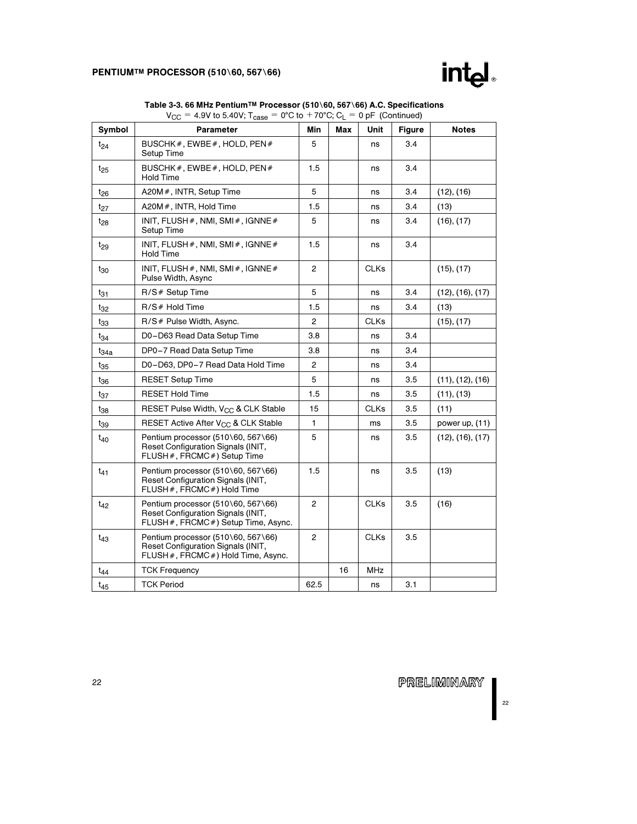### PENTIUMTM PROCESSOR (510\60, 567\66)



| Symbol           | <b>Parameter</b>                                                                                                | Min            | Max | Unit        | <b>Figure</b> | <b>Notes</b>     |
|------------------|-----------------------------------------------------------------------------------------------------------------|----------------|-----|-------------|---------------|------------------|
| $t_{24}$         | BUSCHK#, EWBE#, HOLD, PEN#<br>Setup Time                                                                        | 5              |     | ns          | 3.4           |                  |
| $t_{25}$         | BUSCHK#, EWBE#, HOLD, PEN#<br><b>Hold Time</b>                                                                  | 1.5            |     | ns          | 3.4           |                  |
| $t_{26}$         | A20M #, INTR, Setup Time                                                                                        | 5              |     | ns          | 3.4           | (12), (16)       |
| $t_{27}$         | A20M #, INTR, Hold Time                                                                                         | 1.5            |     | ns          | 3.4           | (13)             |
| $t_{28}$         | INIT, FLUSH #, NMI, SMI #, IGNNE #<br>Setup Time                                                                | 5              |     | ns          | 3.4           | (16), (17)       |
| $t_{29}$         | INIT, FLUSH $#$ , NMI, SMI $#$ , IGNNE $#$<br><b>Hold Time</b>                                                  | 1.5            |     | ns          | 3.4           |                  |
| t <sub>30</sub>  | INIT, FLUSH $\#$ , NMI, SMI $\#$ , IGNNE $\#$<br>Pulse Width, Async                                             | $\overline{2}$ |     | <b>CLKs</b> |               | (15), (17)       |
| $t_{31}$         | R/S# Setup Time                                                                                                 | 5              | ns  |             |               | (12), (16), (17) |
| $t_{32}$         | $R/S#$ Hold Time                                                                                                | 1.5<br>ns      |     | 3.4         | (13)          |                  |
| $t_{33}$         | R/S# Pulse Width, Async.                                                                                        | $\overline{c}$ |     | <b>CLKs</b> |               | (15), (17)       |
| $t_{34}$         | D0-D63 Read Data Setup Time                                                                                     | 3.8            |     | ns          | 3.4           |                  |
| t <sub>34a</sub> | DP0-7 Read Data Setup Time                                                                                      | 3.8            |     | ns          | 3.4           |                  |
| $t_{35}$         | D0-D63, DP0-7 Read Data Hold Time                                                                               | $\overline{c}$ |     | ns          | 3.4           |                  |
| t36              | <b>RESET Setup Time</b>                                                                                         | 5              |     | ns          | 3.5           | (11), (12), (16) |
| $t_{37}$         | <b>RESET Hold Time</b>                                                                                          | 1.5            |     | ns          | 3.5           | (11), (13)       |
| t38              | RESET Pulse Width, V <sub>CC</sub> & CLK Stable                                                                 | 15             |     | CLKs        | 3.5           | (11)             |
| t39              | RESET Active After V <sub>CC</sub> & CLK Stable                                                                 | $\mathbf{1}$   |     | ms          | 3.5           | power up, $(11)$ |
| $t_{40}$         | Pentium processor (510\60, 567\66)<br>Reset Configuration Signals (INIT,<br>FLUSH#, FRCMC#) Setup Time          | 5              |     | ns          | 3.5           | (12), (16), (17) |
| $t_{41}$         | Pentium processor (510\60, 567\66)<br>Reset Configuration Signals (INIT,<br>FLUSH#, FRCMC#) Hold Time           | 1.5            |     | ns          | 3.5           | (13)             |
| $t_{42}$         | Pentium processor (510\60, 567\66)<br>Reset Configuration Signals (INIT,<br>FLUSH#, FRCMC#) Setup Time, Async.  | 2              |     | <b>CLKs</b> | 3.5           | (16)             |
| $t_{43}$         | Pentium processor (510\60, 567\66)<br>Reset Configuration Signals (INIT,<br>FLUSH #, FRCMC #) Hold Time, Async. | $\overline{c}$ |     | <b>CLKs</b> | 3.5           |                  |
| $t_{44}$         | <b>TCK Frequency</b>                                                                                            |                | 16  | <b>MHz</b>  |               |                  |
| $t_{45}$         | <b>TCK Period</b>                                                                                               | 62.5           |     | ns          | 3.1           |                  |

Table 3-3. 66 MHz Pentium™ Processor (510∖60, 567∖66) A.C. Specifications  $V_{\text{CC}} = 4.9V$  to 5.40V; T<sub>case</sub> = 0°C to +70°C; C<sub>L</sub> = 0 pF (Continued)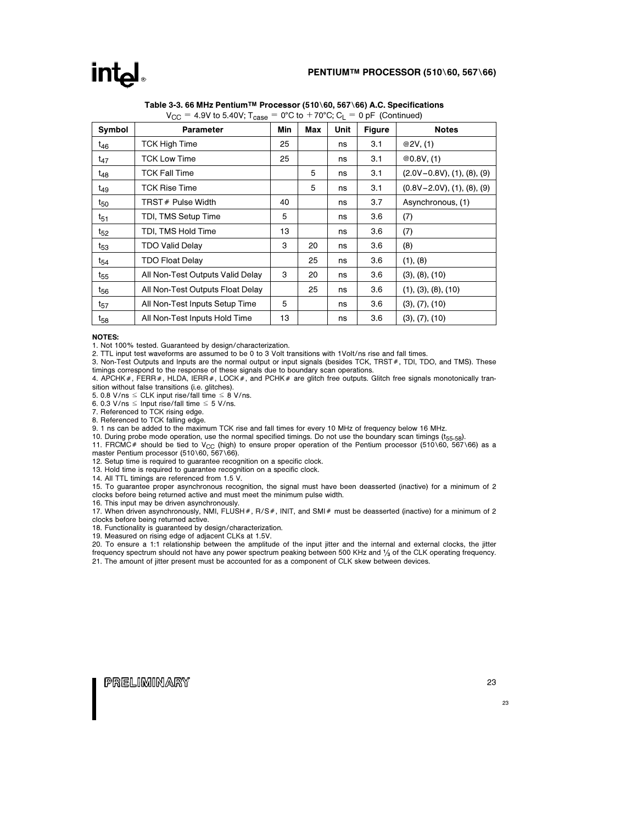### intal

### PENTIUM™ PROCESSOR (510\60, 567\66)

| Symbol          | <b>Parameter</b>                 | Min | Max | Unit | <b>Figure</b> | <b>Notes</b>                            |
|-----------------|----------------------------------|-----|-----|------|---------------|-----------------------------------------|
| $t_{46}$        | <b>TCK High Time</b>             | 25  |     | ns   | 3.1           | @2V, (1)                                |
| $t_{47}$        | <b>TCK Low Time</b>              | 25  |     | ns   | 3.1           | @0.8V, (1)                              |
| t <sub>48</sub> | <b>TCK Fall Time</b>             |     | 5   | ns   | 3.1           | $(2.0V - 0.8V)$ , $(1)$ , $(8)$ , $(9)$ |
| t <sub>49</sub> | <b>TCK Rise Time</b>             |     | 5   | ns   | 3.1           | $(0.8V - 2.0V)$ , $(1)$ , $(8)$ , $(9)$ |
| t <sub>50</sub> | TRST # Pulse Width               | 40  |     | ns   | 3.7           | Asynchronous, (1)                       |
| $t_{51}$        | TDI, TMS Setup Time              | 5   |     | ns   | 3.6           | (7)                                     |
| $t_{52}$        | TDI, TMS Hold Time               | 13  |     | ns   | 3.6           | (7)                                     |
| $t_{53}$        | <b>TDO Valid Delay</b>           | 3   | 20  | ns   | 3.6           | (8)                                     |
| t <sub>54</sub> | <b>TDO Float Delay</b>           |     | 25  | ns   | 3.6           | (1), (8)                                |
| t <sub>55</sub> | All Non-Test Outputs Valid Delay | 3   | 20  | ns   | 3.6           | (3), (8), (10)                          |
| t <sub>56</sub> | All Non-Test Outputs Float Delay |     | 25  | ns   | 3.6           | (1), (3), (8), (10)                     |
| $t_{57}$        | All Non-Test Inputs Setup Time   | 5   |     | ns   | 3.6           | (3), (7), (10)                          |
| $t_{58}$        | All Non-Test Inputs Hold Time    | 13  |     | ns   | 3.6           | (3), (7), (10)                          |

### Table 3-3. 66 MHz Pentium™ Processor (510\60, 567\66) A.C. Specifications  $V_{\text{CC}} = 4.9V$  to 5.40V; T<sub>case</sub> = 0°C to +70°C; C<sub>L</sub> = 0 pF (Continued)

#### NOTES:

1. Not 100% tested. Guaranteed by design/characterization.

2. TTL input test waveforms are assumed to be 0 to 3 Volt transitions with 1Volt/ns rise and fall times.

3. Non-Test Outputs and Inputs are the normal output or input signals (besides TCK, TRST#, TDI, TDO, and TMS). These timings correspond to the response of these signals due to boundary scan operations.

4. APCHK#, FERR#, HLDA, IERR#, LOCK#, and PCHK# are glitch free outputs. Glitch free signals monotonically transition without false transitions (i.e. glitches).

5. 0.8 V/ns  $\leq$  CLK input rise/fall time  $\leq$  8 V/ns.

6. 0.3 V/ns  $\leq$  Input rise/fall time  $\leq$  5 V/ns.

7. Referenced to TCK rising edge.

8. Referenced to TCK falling edge.

9. 1 ns can be added to the maximum TCK rise and fall times for every 10 MHz of frequency below 16 MHz.

10. During probe mode operation, use the normal specified timings. Do not use the boundary scan timings (t<sub>55-58</sub>).

11. FRCMC# should be tied to V<sub>CC</sub> (high) to ensure proper operation of the Pentium processor (510\60, 567\66) as a<br>master Pentium processor (510\60, 567\66).

12. Setup time is required to guarantee recognition on a specific clock.

13. Hold time is required to guarantee recognition on a specific clock.

14. All TTL timings are referenced from 1.5 V.

15. To guarantee proper asynchronous recognition, the signal must have been deasserted (inactive) for a minimum of 2 clocks before being returned active and must meet the minimum pulse width.

16. This input may be driven asynchronously.

17. When driven asynchronously, NMI, FLUSH#, R/S#, INIT, and SMI# must be deasserted (inactive) for a minimum of 2 clocks before being returned active.

18. Functionality is guaranteed by design/characterization. 19. Measured on rising edge of adjacent CLKs at 1.5V.

20. To ensure a 1:1 relationship between the amplitude of the input jitter and the internal and external clocks, the jitter frequency spectrum should not have any power spectrum peaking between 500 KHz and  $\frac{1}{3}$  of the CLK operating frequency. 21. The amount of jitter present must be accounted for as a component of CLK skew between devices.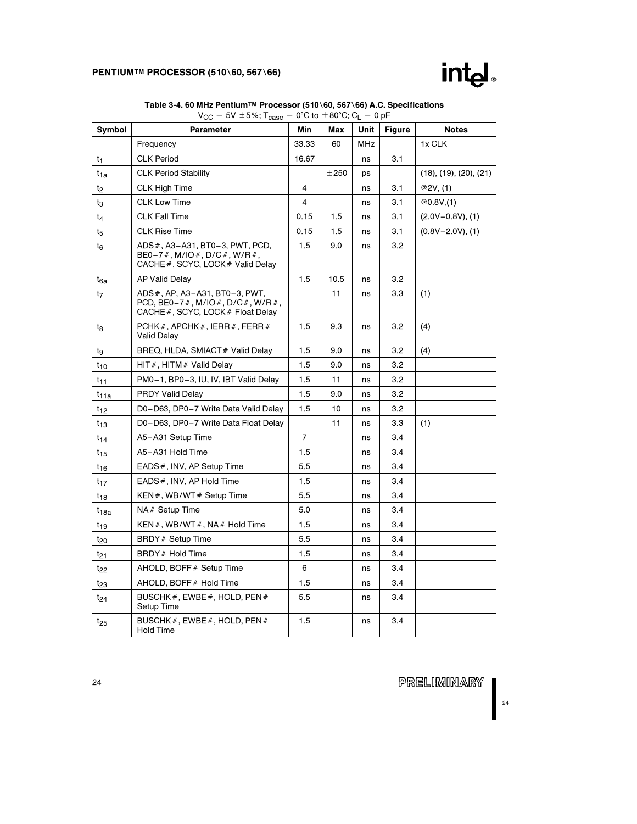

| Symbol                      | <b>Parameter</b>                                                                                     |       | Max  | Unit | <b>Figure</b> | <b>Notes</b>                      |
|-----------------------------|------------------------------------------------------------------------------------------------------|-------|------|------|---------------|-----------------------------------|
|                             | Frequency                                                                                            | 33.33 | 60   | MHz  |               | 1x CLK                            |
| t <sub>1</sub>              | <b>CLK Period</b>                                                                                    | 16.67 |      | ns   | 3.1           |                                   |
| $t_{1a}$                    | <b>CLK Period Stability</b>                                                                          |       | ±250 | ps   |               | $(18)$ , $(19)$ , $(20)$ , $(21)$ |
| t2                          | <b>CLK High Time</b>                                                                                 | 4     |      | ns   | 3.1           | @2V, (1)                          |
| t3                          | <b>CLK Low Time</b>                                                                                  | 4     |      | ns   | 3.1           | @0.8V(1)                          |
| $t_4$                       | <b>CLK Fall Time</b>                                                                                 | 0.15  | 1.5  | ns   | 3.1           | $(2.0V - 0.8V)$ , (1)             |
| $\ensuremath{\mathbf{t}}_5$ | <b>CLK Rise Time</b>                                                                                 | 0.15  | 1.5  | ns   | 3.1           | $(0.8V - 2.0V)$ , (1)             |
| $t_6$                       | ADS #, A3-A31, BT0-3, PWT, PCD,<br>$BE0-7$ #, M/IO#, D/C#, W/R#,<br>CACHE#, SCYC, LOCK # Valid Delay | 1.5   | 9.0  | ns   | 3.2           |                                   |
| t <sub>6a</sub>             | <b>AP Valid Delay</b>                                                                                | 1.5   | 10.5 | ns   | 3.2           |                                   |
| t <sub>7</sub>              | ADS#, AP, A3-A31, BT0-3, PWT,<br>PCD, BE0-7#, M/IO#, D/C#, W/R#,<br>CACHE#, SCYC, LOCK# Float Delay  |       | 11   | ns   | 3.3           | (1)                               |
| tg                          | PCHK#, APCHK#, IERR#, FERR#<br>Valid Delay                                                           |       | 9.3  | ns   | 3.2           | (4)                               |
| tg                          | BREQ, HLDA, SMIACT # Valid Delay                                                                     | 1.5   | 9.0  | ns   | 3.2           | (4)                               |
| $t_{10}$                    | $HIT#$ , $HITM#$ Valid Delay                                                                         |       | 9.0  | ns   | 3.2           |                                   |
| $t_{11}$                    | PM0-1, BP0-3, IU, IV, IBT Valid Delay                                                                | 1.5   | 11   | ns   | 3.2           |                                   |
| $t_{11a}$                   | <b>PRDY Valid Delay</b>                                                                              | 1.5   | 9.0  | ns   | 3.2           |                                   |
| $t_{12}$                    | D0-D63, DP0-7 Write Data Valid Delay                                                                 | 1.5   | 10   | ns   | 3.2           |                                   |
| $t_{13}$                    | D0-D63, DP0-7 Write Data Float Delay                                                                 |       | 11   | ns   | 3.3           | (1)                               |
| $t_{14}$                    | A5-A31 Setup Time                                                                                    | 7     |      | ns   | 3.4           |                                   |
| $t_{15}$                    | A5-A31 Hold Time                                                                                     | 1.5   |      | ns   | 3.4           |                                   |
| $t_{16}$                    | EADS#, INV, AP Setup Time                                                                            | 5.5   |      | ns   | 3.4           |                                   |
| $t_{17}$                    | EADS#, INV, AP Hold Time                                                                             | 1.5   |      | ns   | 3.4           |                                   |
| $t_{18}$                    | KEN#, WB/WT# Setup Time                                                                              | 5.5   |      | ns   | 3.4           |                                   |
| $t_{18a}$                   | NA# Setup Time                                                                                       | 5.0   |      | ns   | 3.4           |                                   |
| $t_{19}$                    | KEN#, WB/WT#, NA# Hold Time                                                                          | 1.5   |      | ns   | 3.4           |                                   |
| $t_{20}$                    | BRDY # Setup Time                                                                                    | 5.5   |      | ns   | 3.4           |                                   |
| $t_{21}$                    | BRDY # Hold Time                                                                                     | 1.5   |      | ns   | 3.4           |                                   |
| t <sub>22</sub>             | AHOLD, BOFF # Setup Time                                                                             | 6     |      | ns   | 3.4           |                                   |
| $t_{23}$                    | AHOLD, BOFF # Hold Time                                                                              | 1.5   |      | ns   | 3.4           |                                   |
| $t_{24}$                    | BUSCHK#, EWBE#, HOLD, PEN#<br>Setup Time                                                             | 5.5   |      | ns   | 3.4           |                                   |
| $t_{25}$                    | BUSCHK#, EWBE#, HOLD, PEN#<br><b>Hold Time</b>                                                       | 1.5   |      | ns   | 3.4           |                                   |

PRELIMINARY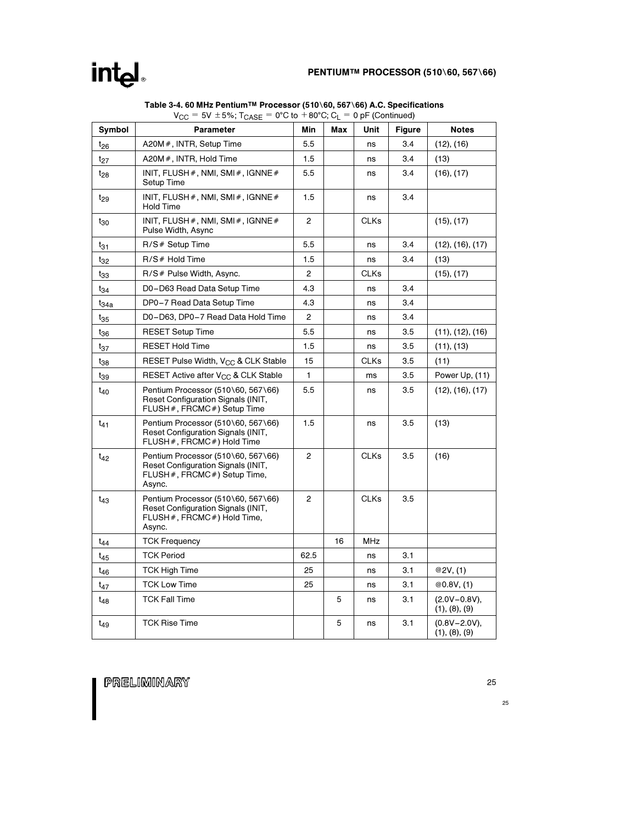### PENTIUM™ PROCESSOR (510\60, 567\66)

|                  | ▾◡◡<br>00 -070, ICASE                                                                                               |                |     | v pri (vornmava) |               |                                    |
|------------------|---------------------------------------------------------------------------------------------------------------------|----------------|-----|------------------|---------------|------------------------------------|
| Symbol           | <b>Parameter</b>                                                                                                    | Min            | Max | Unit             | <b>Figure</b> | <b>Notes</b>                       |
| $t_{26}$         | A20M #, INTR, Setup Time                                                                                            | 5.5            |     | ns               | 3.4           | (12), (16)                         |
| $t_{27}$         | A20M #, INTR, Hold Time                                                                                             | 1.5            |     | ns               | 3.4           | (13)                               |
| $t_{28}$         | INIT, FLUSH $#$ , NMI, SMI $#$ , IGNNE $#$<br>Setup Time                                                            | 5.5            |     | ns               | 3.4           | (16), (17)                         |
| t <sub>29</sub>  | INIT, FLUSH $#$ , NMI, SMI $#$ , IGNNE $#$<br><b>Hold Time</b>                                                      | 1.5            |     | ns               | 3.4           |                                    |
| $t_{30}$         | INIT, FLUSH $#$ , NMI, SMI $#$ , IGNNE $#$<br>Pulse Width, Async                                                    | $\overline{2}$ |     | <b>CLKs</b>      |               | (15), (17)                         |
| t31              | R/S# Setup Time                                                                                                     | 5.5            |     | ns               | 3.4           | (12), (16), (17)                   |
| $t_{32}$         | R/S# Hold Time                                                                                                      | 1.5            |     | ns               | 3.4           | (13)                               |
| $t_{33}$         | R/S # Pulse Width, Async.                                                                                           | 2              |     | <b>CLKs</b>      |               | (15), (17)                         |
| $t_{34}$         | D0-D63 Read Data Setup Time                                                                                         | 4.3            |     | ns               | 3.4           |                                    |
| t <sub>34a</sub> | DP0-7 Read Data Setup Time                                                                                          | 4.3            |     | ns               | 3.4           |                                    |
| $t_{35}$         | D0-D63, DP0-7 Read Data Hold Time                                                                                   | 2              |     | ns               | 3.4           |                                    |
| $t_{36}$         | <b>RESET Setup Time</b>                                                                                             | 5.5            |     | ns               | 3.5           | (11), (12), (16)                   |
| $t_{37}$         | <b>RESET Hold Time</b>                                                                                              | 1.5            |     | ns               | 3.5           | (11), (13)                         |
| $t_{38}$         | RESET Pulse Width, V <sub>CC</sub> & CLK Stable                                                                     | 15             |     | CLKs             | 3.5           | (11)                               |
| t39              | RESET Active after $V_{CC}$ & CLK Stable                                                                            | 1              |     | ms               | 3.5           | Power Up, (11)                     |
| t <sub>40</sub>  | Pentium Processor (510\60, 567\66)<br>Reset Configuration Signals (INIT,<br>FLUSH #, FRCMC #) Setup Time            | 5.5            |     | ns               | 3.5           | (12), (16), (17)                   |
| $t_{41}$         | Pentium Processor (510\60, 567\66)<br>Reset Configuration Signals (INIT,<br>FLUSH #, FRCMC #) Hold Time             | 1.5            |     | ns               | 3.5           | (13)                               |
| $t_{42}$         | Pentium Processor (510\60, 567\66)<br>Reset Configuration Signals (INIT,<br>FLUSH #, FRCMC #) Setup Time,<br>Async. | 2              |     | <b>CLKs</b>      | 3.5           | (16)                               |
| $t_{43}$         | Pentium Processor (510\60, 567\66)<br>Reset Configuration Signals (INIT,<br>FLUSH #, FRCMC #) Hold Time,<br>Async.  | $\overline{2}$ |     | <b>CLKs</b>      | 3.5           |                                    |
| t <sub>44</sub>  | <b>TCK Frequency</b>                                                                                                |                | 16  | MHz              |               |                                    |
| $t_{45}$         | <b>TCK Period</b>                                                                                                   | 62.5           |     | ns               | 3.1           |                                    |
| t <sub>46</sub>  | TCK High Time                                                                                                       | 25             |     | ns               | 3.1           | @2V, (1)                           |
| $t_{47}$         | <b>TCK Low Time</b>                                                                                                 | 25             |     | ns               | 3.1           | @0.8V, (1)                         |
| $t_{48}$         | <b>TCK Fall Time</b>                                                                                                |                | 5   | ns               | 3.1           | $(2.0V - 0.8V)$ ,<br>(1), (8), (9) |
| t <sub>49</sub>  | <b>TCK Rise Time</b>                                                                                                |                | 5   | ns               | 3.1           | $(0.8V - 2.0V)$ ,<br>(1), (8), (9) |

Table 3-4. 60 MHz Pentium™ Processor (510∖60, 567∖66) A.C. Specifications  $V_{CC} = 5V \pm 5\%; T_{CASE} = 0°C$  to  $+80°C; C_{L} = 0 pF$  (Continued)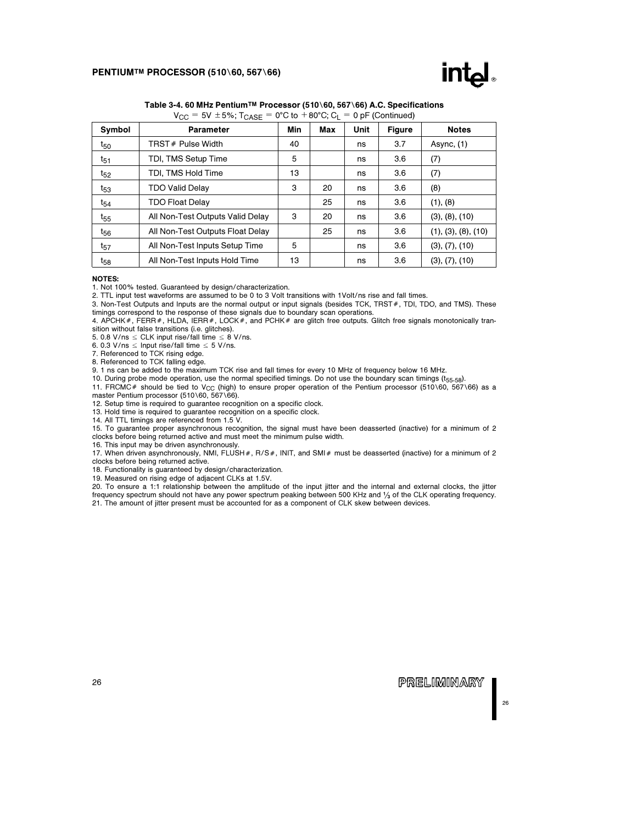

| $V_{CC} = 5V \pm 5\%$ ; T <sub>CASE</sub> = 0°C to +80°C; C <sub>L</sub> = 0 pF (Continued) |                                  |     |     |             |               |                     |  |  |  |  |
|---------------------------------------------------------------------------------------------|----------------------------------|-----|-----|-------------|---------------|---------------------|--|--|--|--|
| Symbol                                                                                      | <b>Parameter</b>                 | Min | Max | <b>Unit</b> | <b>Figure</b> | <b>Notes</b>        |  |  |  |  |
| $t_{50}$                                                                                    | TRST# Pulse Width                | 40  |     | ns          | 3.7           | Async, $(1)$        |  |  |  |  |
| $t_{51}$                                                                                    | TDI, TMS Setup Time              | 5   |     | ns          | 3.6           | (7)                 |  |  |  |  |
| $t_{52}$                                                                                    | TDI, TMS Hold Time               | 13  |     | ns          | 3.6           | (7)                 |  |  |  |  |
| $t_{53}$                                                                                    | <b>TDO Valid Delay</b>           | 3   | 20  | ns          | 3.6           | (8)                 |  |  |  |  |
| t <sub>54</sub>                                                                             | <b>TDO Float Delay</b>           |     | 25  | ns          | 3.6           | (1), (8)            |  |  |  |  |
| $t_{55}$                                                                                    | All Non-Test Outputs Valid Delay | 3   | 20  | ns          | 3.6           | (3), (8), (10)      |  |  |  |  |
| $t_{56}$                                                                                    | All Non-Test Outputs Float Delay |     | 25  | ns          | 3.6           | (1), (3), (8), (10) |  |  |  |  |
| $t_{57}$                                                                                    | All Non-Test Inputs Setup Time   | 5   |     | ns          | 3.6           | (3), (7), (10)      |  |  |  |  |
| t <sub>58</sub>                                                                             | All Non-Test Inputs Hold Time    | 13  |     | ns          | 3.6           | (3), (7), (10)      |  |  |  |  |
|                                                                                             |                                  |     |     |             |               |                     |  |  |  |  |

### Table 3-4. 60 MHz Pentium™ Processor (510\60, 567\66) A.C. Specifications

#### NOTES:

1. Not 100% tested. Guaranteed by design/characterization.

2. TTL input test waveforms are assumed to be 0 to 3 Volt transitions with 1Volt/ns rise and fall times.

3. Non-Test Outputs and Inputs are the normal output or input signals (besides TCK, TRST#, TDI, TDO, and TMS). These timings correspond to the response of these signals due to boundary scan operations.

4. APCHK #, FERR #, HLDA, IERR #, LOCK #, and PCHK # are glitch free outputs. Glitch free signals monotonically transition without false transitions (i.e. glitches).

5. 0.8 V/ns  $\leq$  CLK input rise/fall time  $\leq$  8 V/ns.

6. 0.3 V/ns  $\leq$  Input rise/fall time  $\leq$  5 V/ns.

7. Referenced to TCK rising edge.

8. Referenced to TCK falling edge.

9. 1 ns can be added to the maximum TCK rise and fall times for every 10 MHz of frequency below 16 MHz.

10. During probe mode operation, use the normal specified timings. Do not use the boundary scan timings (t55-58).

11. FRCMC# should be tied to V<sub>CC</sub> (high) to ensure proper operation of the Pentium processor (510\60, 567\66) as a master Pentium processor (510\60, 567\66).

12. Setup time is required to guarantee recognition on a specific clock.

13. Hold time is required to guarantee recognition on a specific clock.

14. All TTL timings are referenced from 1.5 V.

15. To guarantee proper asynchronous recognition, the signal must have been deasserted (inactive) for a minimum of 2 clocks before being returned active and must meet the minimum pulse width.

16. This input may be driven asynchronously.

17. When driven asynchronously, NMI, FLUSH#, R/S#, INIT, and SMI# must be deasserted (inactive) for a minimum of 2 clocks before being returned active.

18. Functionality is guaranteed by design/characterization.

19. Measured on rising edge of adjacent CLKs at 1.5V.

20. To ensure a 1:1 relationship between the amplitude of the input jitter and the internal and external clocks, the jitter frequency spectrum should not have any power spectrum peaking between 500 KHz and  $\frac{1}{3}$  of the CLK operating frequency. 21. The amount of jitter present must be accounted for as a component of CLK skew between devices.

**PRELIMINARY**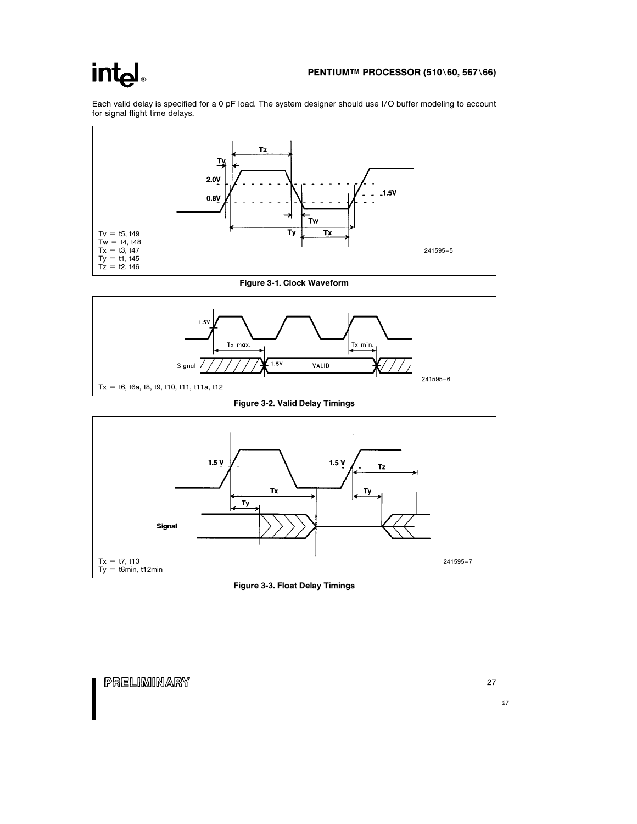### int<sub>el</sub>

### PENTIUM™ PROCESSOR (510\60, 567\66)

Each valid delay is specified for a 0 pF load. The system designer should use I/O buffer modeling to account for signal flight time delays.



Figure 3-1. Clock Waveform



Figure 3-2. Valid Delay Timings



Figure 3-3. Float Delay Timings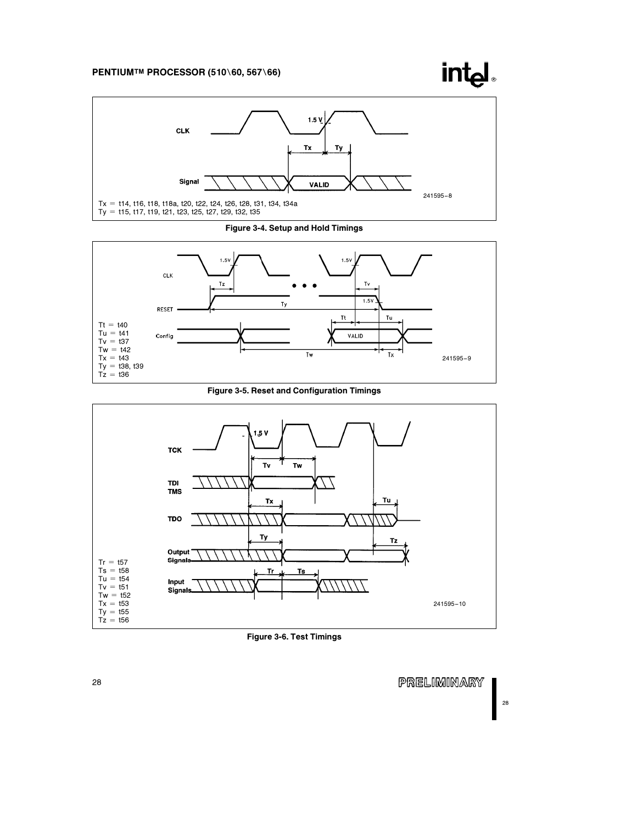### PENTIUM™ PROCESSOR (510\60, 567\66)

**CLK** 





Figure 3-4. Setup and Hold Timings



Figure 3-5. Reset and Configuration Timings



Figure 3-6. Test Timings

PRELIMINARY

28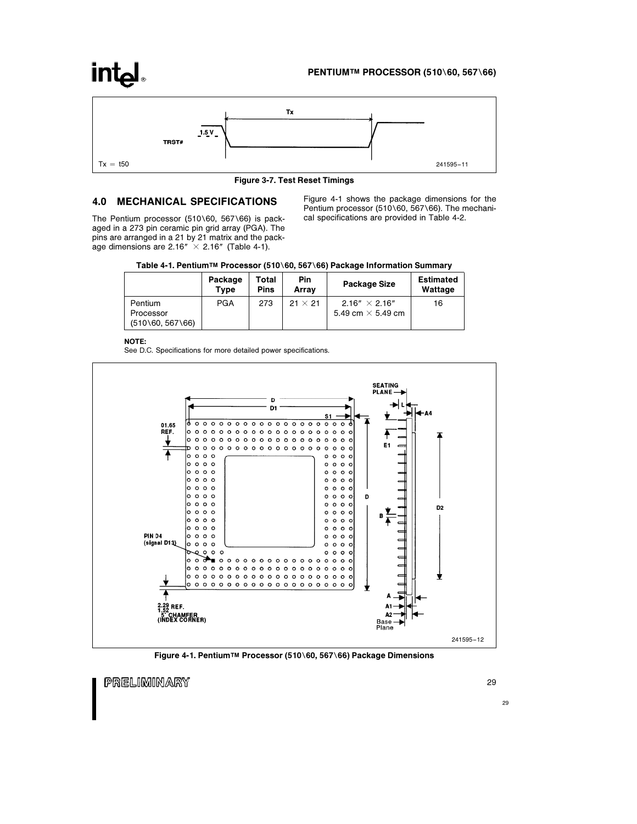### PENTIUM™ PROCESSOR (510\60, 567\66)

### **intel**



Figure 3-7. Test Reset Timings

### 4.0 MECHANICAL SPECIFICATIONS

The Pentium processor (510\60, 567\66) is packaged in a 273 pin ceramic pin grid array (PGA). The pins are arranged in a 21 by 21 matrix and the package dimensions are 2.16"  $\times$  2.16" (Table 4-1).

Figure 4-1 shows the package dimensions for the Pentium processor (510\60, 567\66). The mechanical specifications are provided in Table 4-2.

| Table 4-1. Pentium™ Processor (510∖60, 567∖66) Package Information Summary |  |  |  |  |  |
|----------------------------------------------------------------------------|--|--|--|--|--|
|----------------------------------------------------------------------------|--|--|--|--|--|

|                      | Package<br><b>Type</b> | Total<br>Pins | Pin<br>Arrav   | Package Size             | <b>Estimated</b><br>Wattage |
|----------------------|------------------------|---------------|----------------|--------------------------|-----------------------------|
| Pentium              | <b>PGA</b>             | 273           | $21 \times 21$ | $2.16'' \times 2.16''$   | 16                          |
| Processor            |                        |               |                | 5.49 cm $\times$ 5.49 cm |                             |
| $(510\,60, 567\,66)$ |                        |               |                |                          |                             |

NOTE:

See D.C. Specifications for more detailed power specifications.



Figure 4-1. Pentium™ Processor (510\60, 567\66) Package Dimensions

PRELIMINARY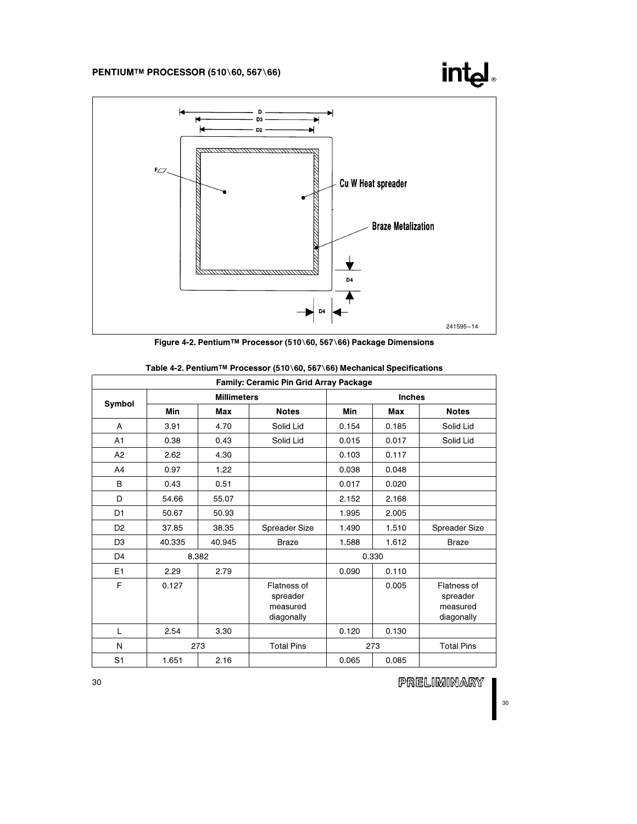



|                | Family: Ceramic Pin Grid Array Package |                    |                                                   |            |               |                                                   |  |  |  |  |  |
|----------------|----------------------------------------|--------------------|---------------------------------------------------|------------|---------------|---------------------------------------------------|--|--|--|--|--|
| Symbol         |                                        | <b>Millimeters</b> |                                                   |            | <b>Inches</b> |                                                   |  |  |  |  |  |
|                | Min                                    | Max                | <b>Notes</b>                                      | <b>Min</b> | Max           | <b>Notes</b>                                      |  |  |  |  |  |
| A              | 3.91                                   | 4.70               | Solid Lid                                         | 0.154      | 0.185         | Solid Lid                                         |  |  |  |  |  |
| A1             | 0.38                                   | 0.43               | Solid Lid                                         | 0.015      | 0.017         | Solid Lid                                         |  |  |  |  |  |
| A2             | 2.62                                   | 4.30               |                                                   | 0.103      | 0.117         |                                                   |  |  |  |  |  |
| A4             | 0.97                                   | 1.22               |                                                   | 0.038      | 0.048         |                                                   |  |  |  |  |  |
| B              | 0.43                                   | 0.51               |                                                   | 0.017      | 0.020         |                                                   |  |  |  |  |  |
| D              | 54.66                                  | 55.07              |                                                   | 2.152      | 2.168         |                                                   |  |  |  |  |  |
| D1             | 50.67                                  | 50.93              |                                                   | 1.995      | 2.005         |                                                   |  |  |  |  |  |
| D <sub>2</sub> | 37.85                                  | 38.35              | Spreader Size                                     | 1.490      | 1.510         | Spreader Size                                     |  |  |  |  |  |
| D <sub>3</sub> | 40.335                                 | 40.945             | <b>Braze</b>                                      | 1.588      | 1.612         | <b>Braze</b>                                      |  |  |  |  |  |
| D <sub>4</sub> |                                        | 8.382              |                                                   |            | 0.330         |                                                   |  |  |  |  |  |
| E <sub>1</sub> | 2.29                                   | 2.79               |                                                   | 0.090      | 0.110         |                                                   |  |  |  |  |  |
| F              | 0.127                                  |                    | Flatness of<br>spreader<br>measured<br>diagonally |            | 0.005         | Flatness of<br>spreader<br>measured<br>diagonally |  |  |  |  |  |
| L              | 2.54                                   | 3.30               |                                                   | 0.120      | 0.130         |                                                   |  |  |  |  |  |
| N              |                                        | 273                | <b>Total Pins</b>                                 |            | 273           | <b>Total Pins</b>                                 |  |  |  |  |  |
| S <sub>1</sub> | 1.651                                  | 2.16               |                                                   | 0.065      | 0.085         |                                                   |  |  |  |  |  |

| Table 4-2. Pentium™ Processor (510∖60, 567∖66) Mechanical Specifications |  |  |  |
|--------------------------------------------------------------------------|--|--|--|
|--------------------------------------------------------------------------|--|--|--|